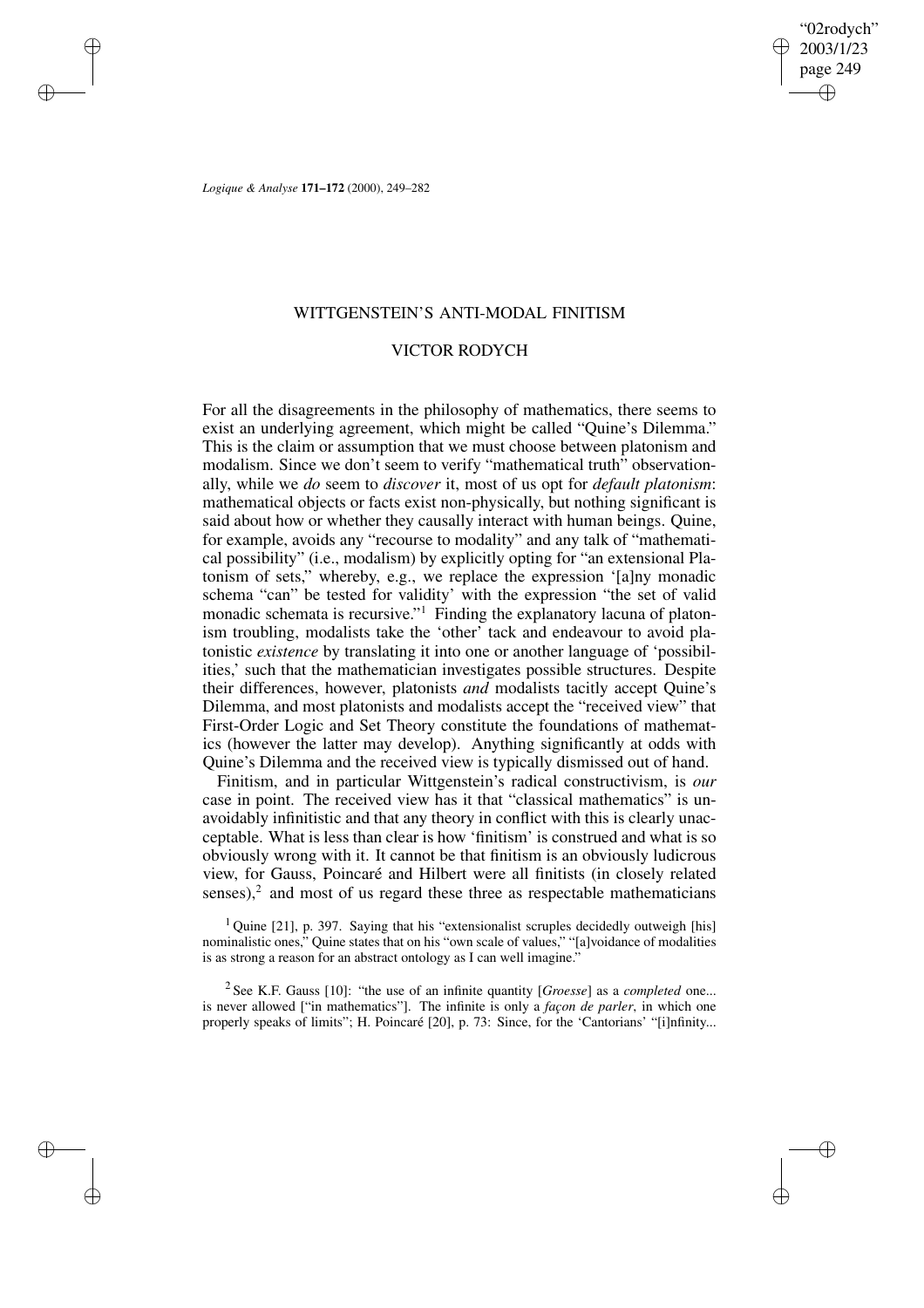"02rodych" 2003/1/23 page 249 ✐ ✐

✐

✐

*Logique & Analyse* **171–172** (2000), 249–282

✐

✐

✐

✐

## WITTGENSTEIN'S ANTI-MODAL FINITISM

### VICTOR RODYCH

For all the disagreements in the philosophy of mathematics, there seems to exist an underlying agreement, which might be called "Quine's Dilemma." This is the claim or assumption that we must choose between platonism and modalism. Since we don't seem to verify "mathematical truth" observationally, while we *do* seem to *discover* it, most of us opt for *default platonism*: mathematical objects or facts exist non-physically, but nothing significant is said about how or whether they causally interact with human beings. Quine, for example, avoids any "recourse to modality" and any talk of "mathematical possibility" (i.e., modalism) by explicitly opting for "an extensional Platonism of sets," whereby, e.g., we replace the expression '[a]ny monadic schema "can" be tested for validity' with the expression "the set of valid monadic schemata is recursive."<sup>1</sup> Finding the explanatory lacuna of platonism troubling, modalists take the 'other' tack and endeavour to avoid platonistic *existence* by translating it into one or another language of 'possibilities,' such that the mathematician investigates possible structures. Despite their differences, however, platonists *and* modalists tacitly accept Quine's Dilemma, and most platonists and modalists accept the "received view" that First-Order Logic and Set Theory constitute the foundations of mathematics (however the latter may develop). Anything significantly at odds with Quine's Dilemma and the received view is typically dismissed out of hand.

Finitism, and in particular Wittgenstein's radical constructivism, is *our* case in point. The received view has it that "classical mathematics" is unavoidably infinitistic and that any theory in conflict with this is clearly unacceptable. What is less than clear is how 'finitism' is construed and what is so obviously wrong with it. It cannot be that finitism is an obviously ludicrous view, for Gauss, Poincaré and Hilbert were all finitists (in closely related senses), $2$  and most of us regard these three as respectable mathematicians

 $1$  Quine [21], p. 397. Saying that his "extensionalist scruples decidedly outweigh [his] nominalistic ones," Quine states that on his "own scale of values," "[a]voidance of modalities is as strong a reason for an abstract ontology as I can well imagine."

2 See K.F. Gauss [10]: "the use of an infinite quantity [*Groesse*] as a *completed* one... is never allowed ["in mathematics"]. The infinite is only a *façon de parler*, in which one properly speaks of limits"; H. Poincaré [20], p. 73: Since, for the 'Cantorians' "[i]nfinity...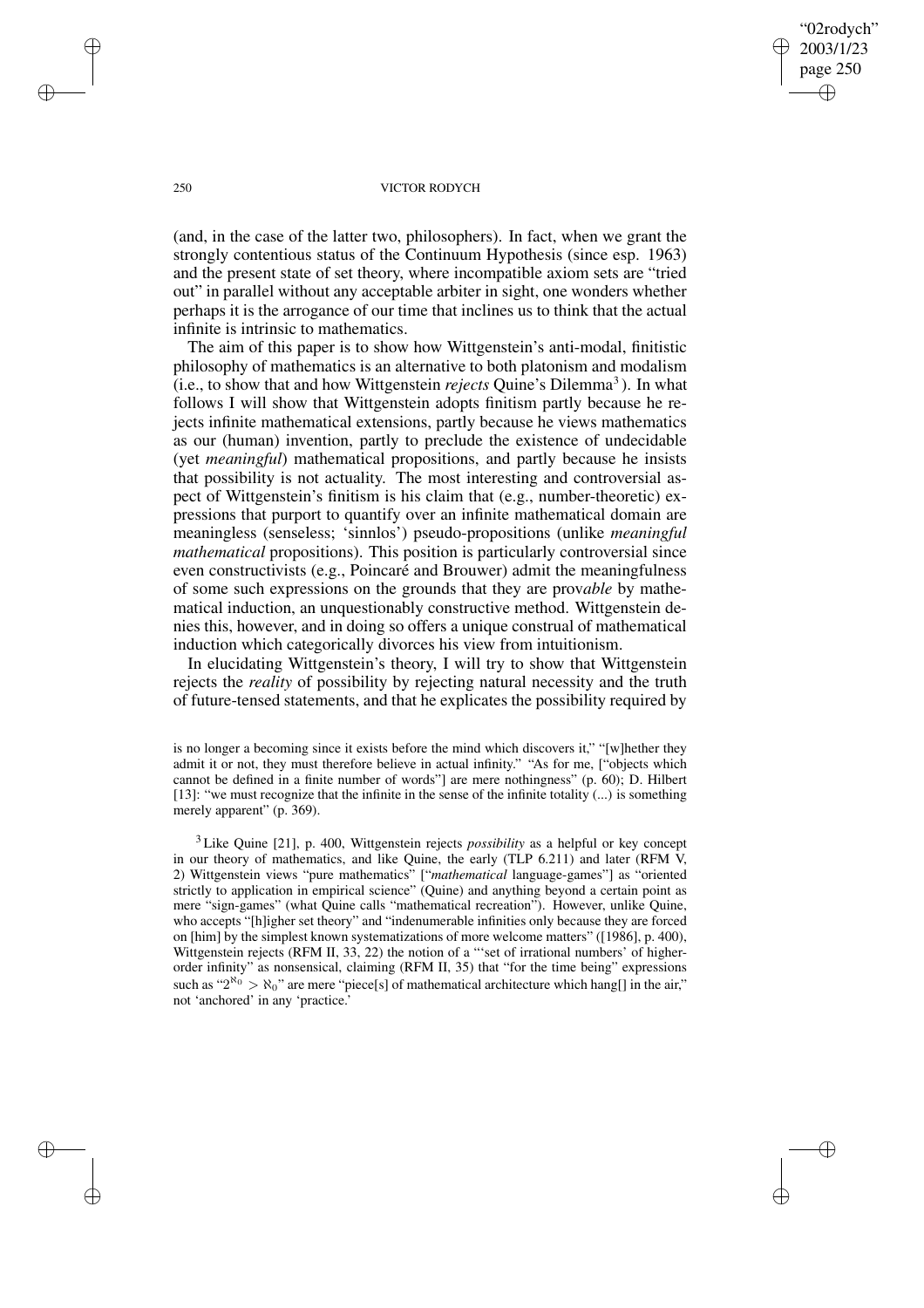"02rodych" 2003/1/23 page 250 ✐ ✐

✐

✐

#### 250 VICTOR RODYCH

(and, in the case of the latter two, philosophers). In fact, when we grant the strongly contentious status of the Continuum Hypothesis (since esp. 1963) and the present state of set theory, where incompatible axiom sets are "tried out" in parallel without any acceptable arbiter in sight, one wonders whether perhaps it is the arrogance of our time that inclines us to think that the actual infinite is intrinsic to mathematics.

The aim of this paper is to show how Wittgenstein's anti-modal, finitistic philosophy of mathematics is an alternative to both platonism and modalism (i.e., to show that and how Wittgenstein *rejects* Quine's Dilemma<sup>3</sup>). In what follows I will show that Wittgenstein adopts finitism partly because he rejects infinite mathematical extensions, partly because he views mathematics as our (human) invention, partly to preclude the existence of undecidable (yet *meaningful*) mathematical propositions, and partly because he insists that possibility is not actuality. The most interesting and controversial aspect of Wittgenstein's finitism is his claim that (e.g., number-theoretic) expressions that purport to quantify over an infinite mathematical domain are meaningless (senseless; 'sinnlos') pseudo-propositions (unlike *meaningful mathematical* propositions). This position is particularly controversial since even constructivists (e.g., Poincaré and Brouwer) admit the meaningfulness of some such expressions on the grounds that they are prov*able* by mathematical induction, an unquestionably constructive method. Wittgenstein denies this, however, and in doing so offers a unique construal of mathematical induction which categorically divorces his view from intuitionism.

In elucidating Wittgenstein's theory, I will try to show that Wittgenstein rejects the *reality* of possibility by rejecting natural necessity and the truth of future-tensed statements, and that he explicates the possibility required by

is no longer a becoming since it exists before the mind which discovers it," "[w]hether they admit it or not, they must therefore believe in actual infinity." "As for me, ["objects which cannot be defined in a finite number of words"] are mere nothingness" (p. 60); D. Hilbert [13]: "we must recognize that the infinite in the sense of the infinite totality  $(...)$  is something merely apparent" (p. 369).

<sup>3</sup> Like Quine [21], p. 400, Wittgenstein rejects *possibility* as a helpful or key concept in our theory of mathematics, and like Quine, the early (TLP 6.211) and later (RFM V, 2) Wittgenstein views "pure mathematics" ["*mathematical* language-games"] as "oriented strictly to application in empirical science" (Quine) and anything beyond a certain point as mere "sign-games" (what Quine calls "mathematical recreation"). However, unlike Quine, who accepts "[h]igher set theory" and "indenumerable infinities only because they are forced on [him] by the simplest known systematizations of more welcome matters" ([1986], p. 400), Wittgenstein rejects (RFM II, 33, 22) the notion of a "'set of irrational numbers' of higherorder infinity" as nonsensical, claiming (RFM II, 35) that "for the time being" expressions such as " $2^{\aleph_0} > \aleph_0$ " are mere "piece[s] of mathematical architecture which hang[] in the air," not 'anchored' in any 'practice.'

✐

✐

✐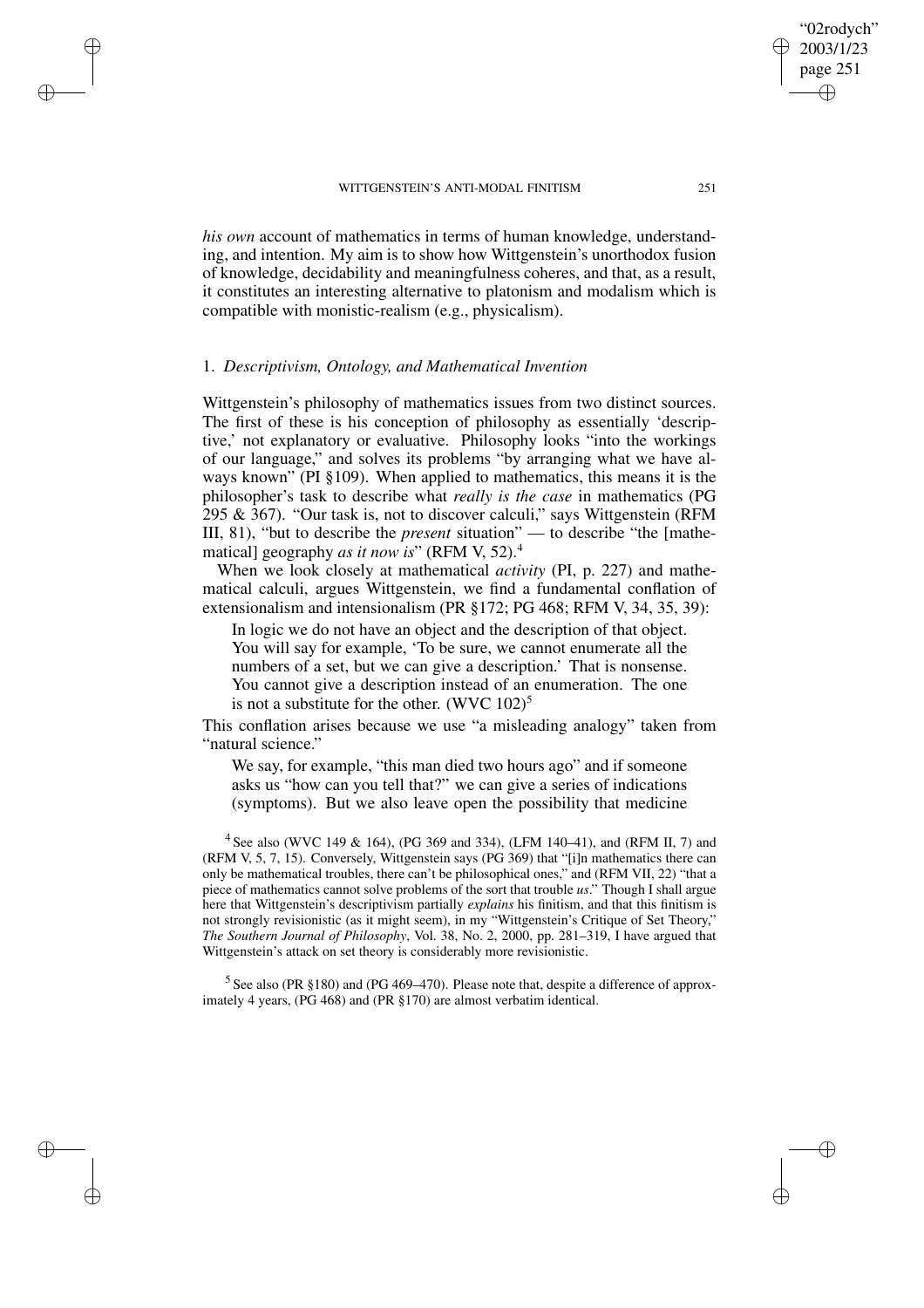*his own* account of mathematics in terms of human knowledge, understanding, and intention. My aim is to show how Wittgenstein's unorthodox fusion of knowledge, decidability and meaningfulness coheres, and that, as a result, it constitutes an interesting alternative to platonism and modalism which is compatible with monistic-realism (e.g., physicalism).

### 1. *Descriptivism, Ontology, and Mathematical Invention*

✐

✐

✐

✐

Wittgenstein's philosophy of mathematics issues from two distinct sources. The first of these is his conception of philosophy as essentially 'descriptive,' not explanatory or evaluative. Philosophy looks "into the workings of our language," and solves its problems "by arranging what we have always known" (PI §109). When applied to mathematics, this means it is the philosopher's task to describe what *really is the case* in mathematics (PG 295 & 367). "Our task is, not to discover calculi," says Wittgenstein (RFM III, 81), "but to describe the *present* situation" — to describe "the [mathematical] geography *as it now is*" (RFM V, 52).<sup>4</sup>

When we look closely at mathematical *activity* (PI, p. 227) and mathematical calculi, argues Wittgenstein, we find a fundamental conflation of extensionalism and intensionalism (PR §172; PG 468; RFM V, 34, 35, 39):

In logic we do not have an object and the description of that object. You will say for example, 'To be sure, we cannot enumerate all the numbers of a set, but we can give a description.' That is nonsense. You cannot give a description instead of an enumeration. The one is not a substitute for the other. (WVC  $102$ )<sup>5</sup>

This conflation arises because we use "a misleading analogy" taken from "natural science."

We say, for example, "this man died two hours ago" and if someone asks us "how can you tell that?" we can give a series of indications (symptoms). But we also leave open the possibility that medicine

4 See also (WVC 149 & 164), (PG 369 and 334), (LFM 140–41), and (RFM II, 7) and (RFM V, 5, 7, 15). Conversely, Wittgenstein says (PG 369) that "[i]n mathematics there can only be mathematical troubles, there can't be philosophical ones," and (RFM VII, 22) "that a piece of mathematics cannot solve problems of the sort that trouble *us*." Though I shall argue here that Wittgenstein's descriptivism partially *explains* his finitism, and that this finitism is not strongly revisionistic (as it might seem), in my "Wittgenstein's Critique of Set Theory," *The Southern Journal of Philosophy*, Vol. 38, No. 2, 2000, pp. 281–319, I have argued that Wittgenstein's attack on set theory is considerably more revisionistic.

 $5$  See also (PR  $$180$ ) and (PG 469–470). Please note that, despite a difference of approximately 4 years, (PG 468) and (PR §170) are almost verbatim identical.

"02rodych" 2003/1/23 page 251

✐

✐

✐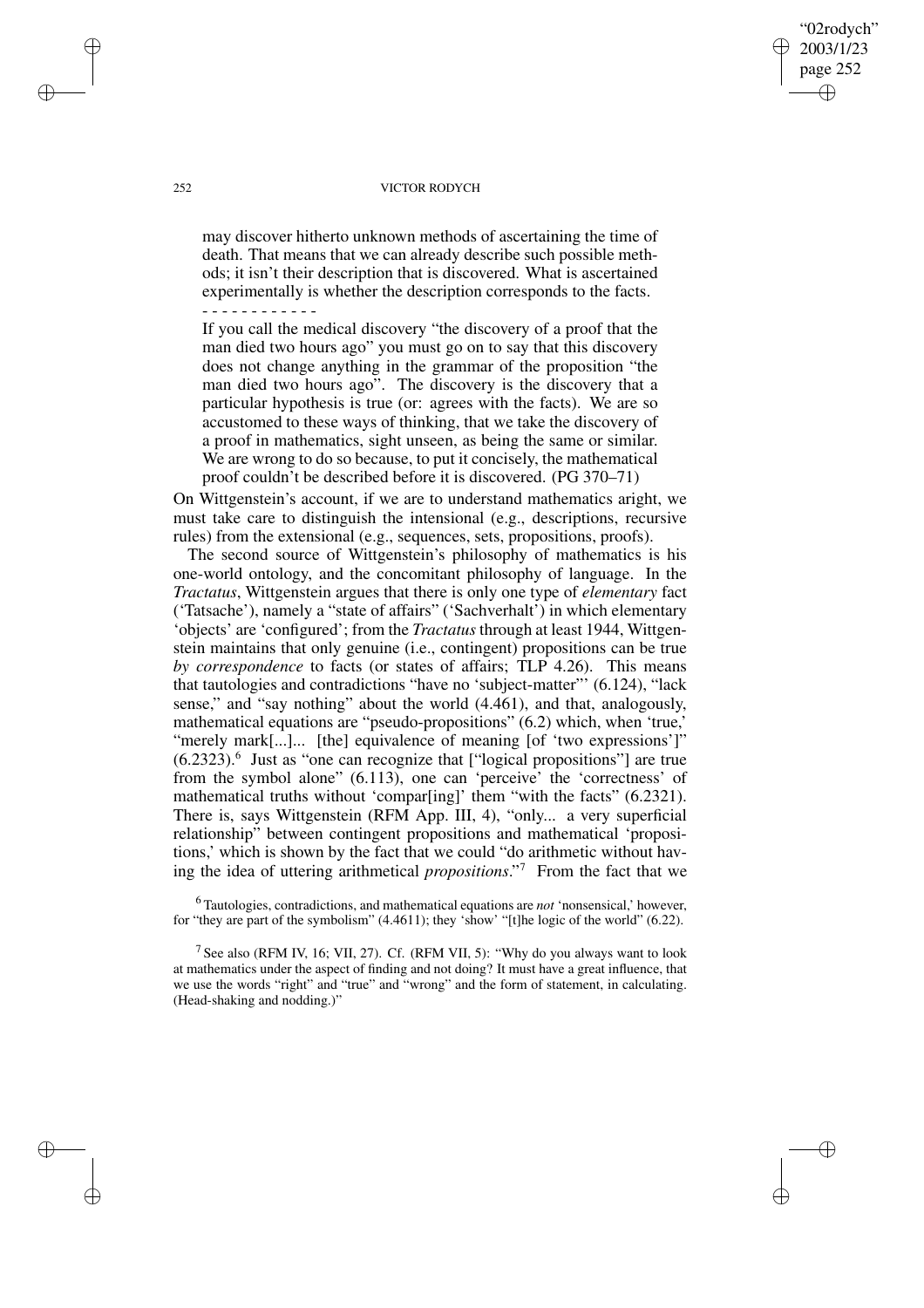#### 252 VICTOR RODYCH

"02rodych" 2003/1/23 page 252

✐

✐

✐

✐

may discover hitherto unknown methods of ascertaining the time of death. That means that we can already describe such possible methods; it isn't their description that is discovered. What is ascertained experimentally is whether the description corresponds to the facts. - - - - - - - - - - - -

If you call the medical discovery "the discovery of a proof that the man died two hours ago" you must go on to say that this discovery does not change anything in the grammar of the proposition "the man died two hours ago". The discovery is the discovery that a particular hypothesis is true (or: agrees with the facts). We are so accustomed to these ways of thinking, that we take the discovery of a proof in mathematics, sight unseen, as being the same or similar. We are wrong to do so because, to put it concisely, the mathematical proof couldn't be described before it is discovered. (PG 370–71)

On Wittgenstein's account, if we are to understand mathematics aright, we must take care to distinguish the intensional (e.g., descriptions, recursive rules) from the extensional (e.g., sequences, sets, propositions, proofs).

The second source of Wittgenstein's philosophy of mathematics is his one-world ontology, and the concomitant philosophy of language. In the *Tractatus*, Wittgenstein argues that there is only one type of *elementary* fact ('Tatsache'), namely a "state of affairs" ('Sachverhalt') in which elementary 'objects' are 'configured'; from the *Tractatus* through at least 1944, Wittgenstein maintains that only genuine (i.e., contingent) propositions can be true *by correspondence* to facts (or states of affairs; TLP 4.26). This means that tautologies and contradictions "have no 'subject-matter"' (6.124), "lack sense," and "say nothing" about the world (4.461), and that, analogously, mathematical equations are "pseudo-propositions" (6.2) which, when 'true,' "merely mark[...]... [the] equivalence of meaning [of 'two expressions']" (6.2323).<sup>6</sup> Just as "one can recognize that ["logical propositions"] are true from the symbol alone" (6.113), one can 'perceive' the 'correctness' of mathematical truths without 'compar[ing]' them "with the facts" (6.2321). There is, says Wittgenstein (RFM App. III, 4), "only... a very superficial relationship" between contingent propositions and mathematical 'propositions,' which is shown by the fact that we could "do arithmetic without having the idea of uttering arithmetical *propositions*." <sup>7</sup> From the fact that we

<sup>6</sup> Tautologies, contradictions, and mathematical equations are *not* 'nonsensical,' however, for "they are part of the symbolism" (4.4611); they 'show' "[t]he logic of the world" (6.22).

<sup>7</sup> See also (RFM IV, 16; VII, 27). Cf. (RFM VII, 5): "Why do you always want to look at mathematics under the aspect of finding and not doing? It must have a great influence, that we use the words "right" and "true" and "wrong" and the form of statement, in calculating. (Head-shaking and nodding.)"

✐

✐

✐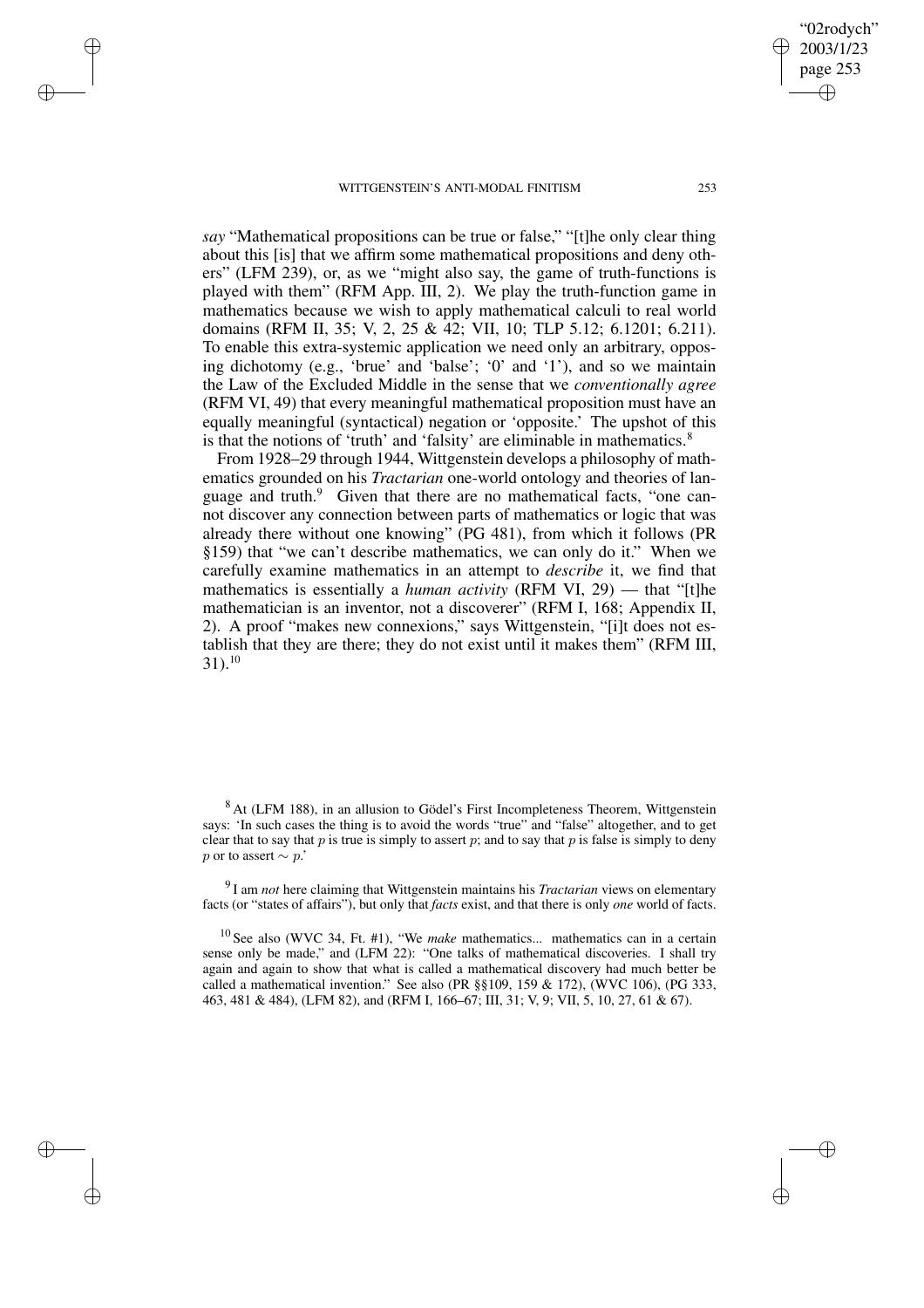✐

✐

✐

✐

*say* "Mathematical propositions can be true or false," "[t]he only clear thing about this [is] that we affirm some mathematical propositions and deny others" (LFM 239), or, as we "might also say, the game of truth-functions is played with them" (RFM App. III, 2). We play the truth-function game in mathematics because we wish to apply mathematical calculi to real world domains (RFM II, 35; V, 2, 25 & 42; VII, 10; TLP 5.12; 6.1201; 6.211). To enable this extra-systemic application we need only an arbitrary, opposing dichotomy (e.g., 'brue' and 'balse'; '0' and '1'), and so we maintain the Law of the Excluded Middle in the sense that we *conventionally agree* (RFM VI, 49) that every meaningful mathematical proposition must have an equally meaningful (syntactical) negation or 'opposite.' The upshot of this is that the notions of 'truth' and 'falsity' are eliminable in mathematics. $8$ 

From 1928–29 through 1944, Wittgenstein develops a philosophy of mathematics grounded on his *Tractarian* one-world ontology and theories of language and truth. $9$  Given that there are no mathematical facts, "one cannot discover any connection between parts of mathematics or logic that was already there without one knowing" (PG 481), from which it follows (PR §159) that "we can't describe mathematics, we can only do it." When we carefully examine mathematics in an attempt to *describe* it, we find that mathematics is essentially a *human activity* (RFM VI, 29) — that "[t]he mathematician is an inventor, not a discoverer" (RFM I, 168; Appendix II, 2). A proof "makes new connexions," says Wittgenstein, "[i]t does not establish that they are there; they do not exist until it makes them" (RFM III,  $31$ ).<sup>10</sup>

9 I am *not* here claiming that Wittgenstein maintains his *Tractarian* views on elementary facts (or "states of affairs"), but only that *facts* exist, and that there is only *one* world of facts.

<sup>10</sup> See also (WVC 34, Ft. #1), "We *make* mathematics... mathematics can in a certain sense only be made," and (LFM 22): "One talks of mathematical discoveries. I shall try again and again to show that what is called a mathematical discovery had much better be called a mathematical invention." See also (PR §§109, 159 & 172), (WVC 106), (PG 333, 463, 481 & 484), (LFM 82), and (RFM I, 166–67; III, 31; V, 9; VII, 5, 10, 27, 61 & 67).

"02rodych" 2003/1/23 page 253

✐

✐

✐

<sup>&</sup>lt;sup>8</sup> At (LFM 188), in an allusion to Gödel's First Incompleteness Theorem, Wittgenstein says: 'In such cases the thing is to avoid the words "true" and "false" altogether, and to get clear that to say that p is true is simply to assert p; and to say that p is false is simply to deny p or to assert  $\sim p$ .'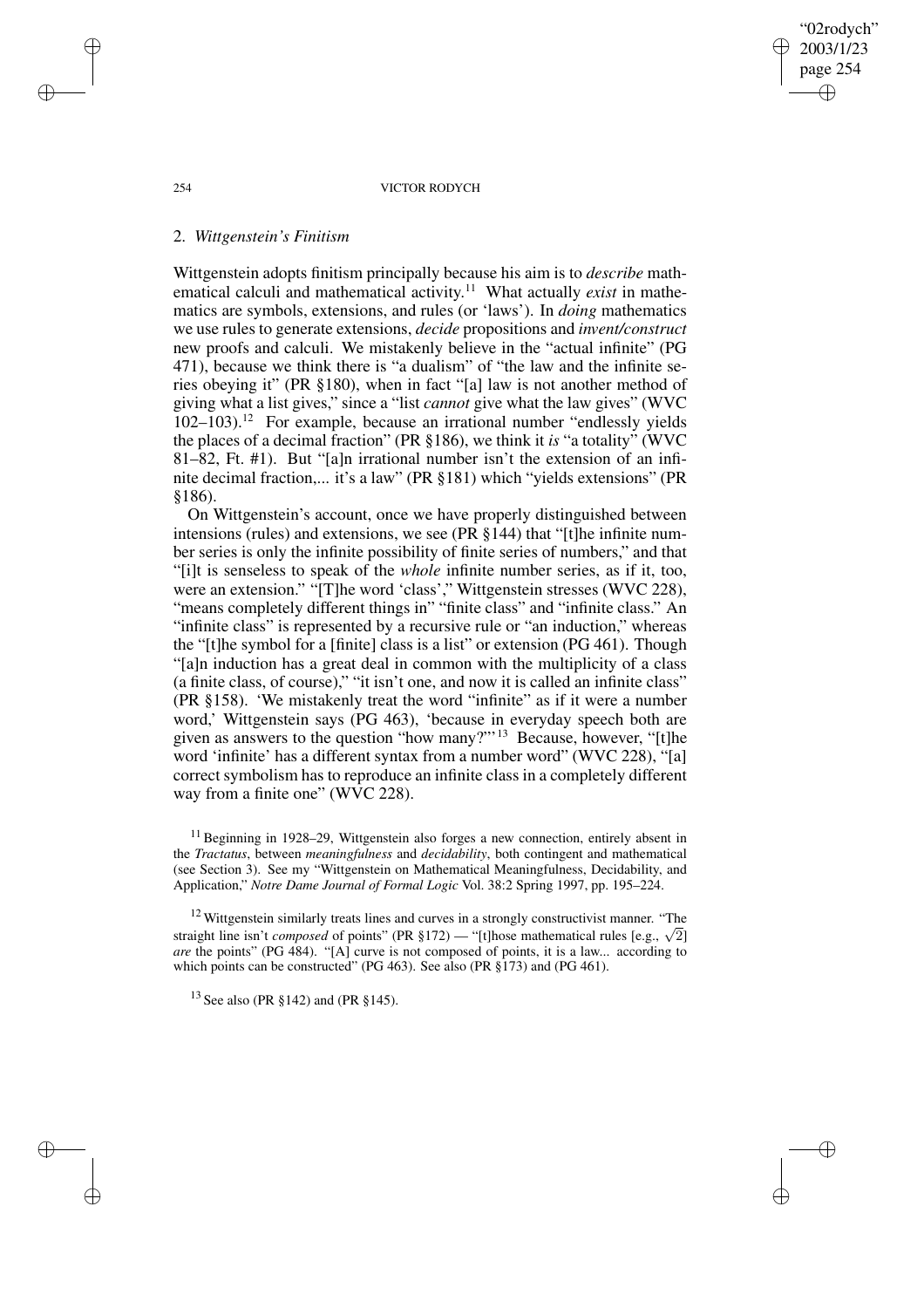"02rodych" 2003/1/23 page 254 ✐ ✐

✐

✐

#### 254 VICTOR RODYCH

### 2. *Wittgenstein's Finitism*

Wittgenstein adopts finitism principally because his aim is to *describe* mathematical calculi and mathematical activity.<sup>11</sup> What actually *exist* in mathematics are symbols, extensions, and rules (or 'laws'). In *doing* mathematics we use rules to generate extensions, *decide* propositions and *invent/construct* new proofs and calculi. We mistakenly believe in the "actual infinite" (PG 471), because we think there is "a dualism" of "the law and the infinite series obeying it" (PR §180), when in fact "[a] law is not another method of giving what a list gives," since a "list *cannot* give what the law gives" (WVC  $102-103$ ).<sup>12</sup> For example, because an irrational number "endlessly yields the places of a decimal fraction" (PR §186), we think it *is* "a totality" (WVC 81–82, Ft. #1). But "[a]n irrational number isn't the extension of an infinite decimal fraction,... it's a law" (PR §181) which "yields extensions" (PR §186).

On Wittgenstein's account, once we have properly distinguished between intensions (rules) and extensions, we see (PR §144) that "[t]he infinite number series is only the infinite possibility of finite series of numbers," and that "[i]t is senseless to speak of the *whole* infinite number series, as if it, too, were an extension." "[T]he word 'class'," Wittgenstein stresses (WVC 228), "means completely different things in" "finite class" and "infinite class." An "infinite class" is represented by a recursive rule or "an induction," whereas the "[t]he symbol for a [finite] class is a list" or extension (PG 461). Though "[a]n induction has a great deal in common with the multiplicity of a class (a finite class, of course)," "it isn't one, and now it is called an infinite class" (PR §158). 'We mistakenly treat the word "infinite" as if it were a number word,' Wittgenstein says (PG 463), 'because in everyday speech both are given as answers to the question "how many?"'<sup>13</sup> Because, however, "[t]he word 'infinite' has a different syntax from a number word" (WVC 228), "[a] correct symbolism has to reproduce an infinite class in a completely different way from a finite one" (WVC 228).

<sup>11</sup> Beginning in 1928–29, Wittgenstein also forges a new connection, entirely absent in the *Tractatus*, between *meaningfulness* and *decidability*, both contingent and mathematical (see Section 3). See my "Wittgenstein on Mathematical Meaningfulness, Decidability, and Application," *Notre Dame Journal of Formal Logic* Vol. 38:2 Spring 1997, pp. 195–224.

<sup>12</sup> Wittgenstein similarly treats lines and curves in a strongly constructivist manner. "The straight line isn't *composed* of points" (PR §172) — "[t]hose mathematical rules  $[e.g., \sqrt{2}]$ *are* the points" (PG 484). "[A] curve is not composed of points, it is a law... according to which points can be constructed" (PG 463). See also (PR §173) and (PG 461).

 $13$  See also (PR  $$142$ ) and (PR  $$145$ ).

✐

✐

✐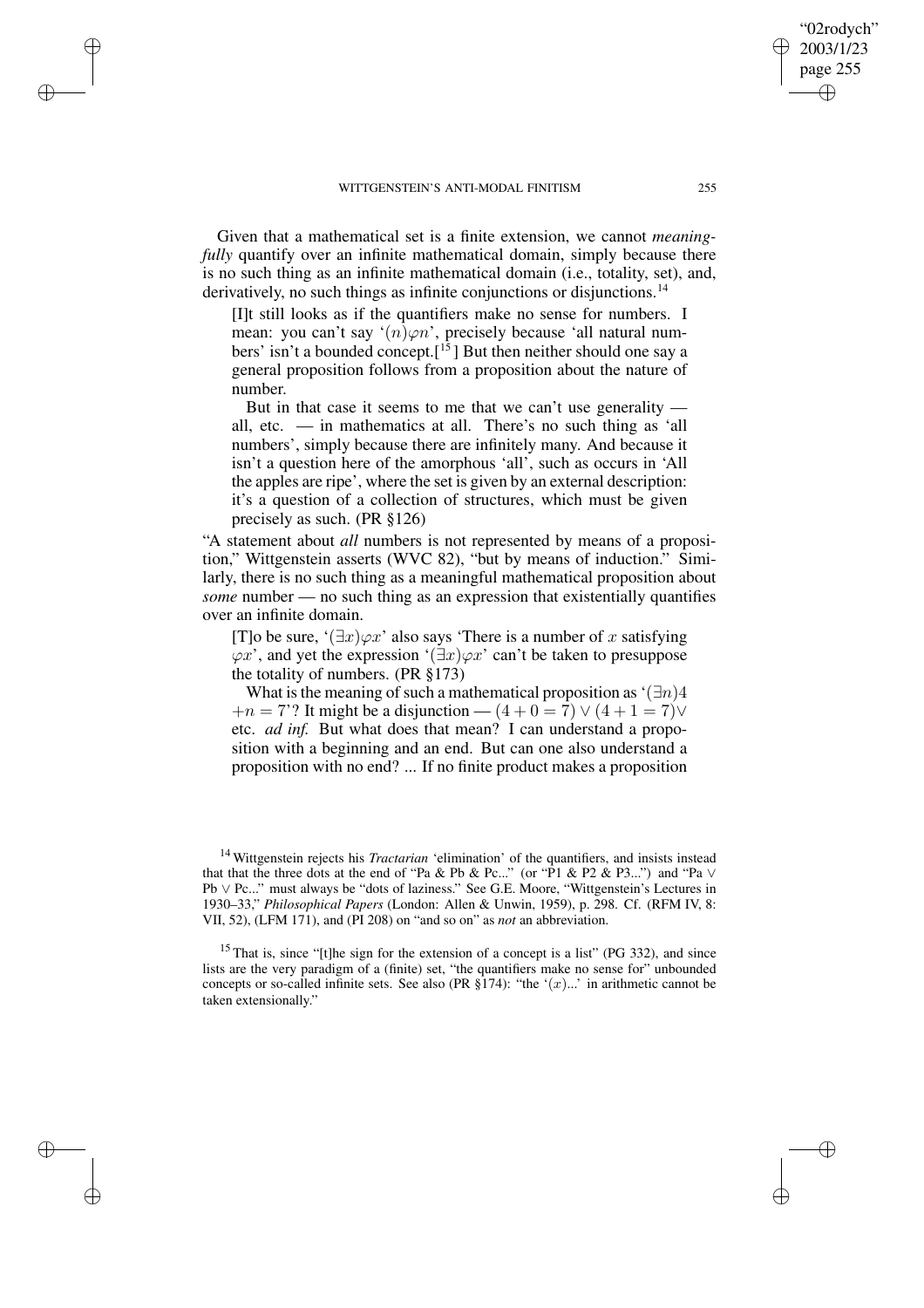✐

✐

✐

✐

Given that a mathematical set is a finite extension, we cannot *meaningfully* quantify over an infinite mathematical domain, simply because there is no such thing as an infinite mathematical domain (i.e., totality, set), and, derivatively, no such things as infinite conjunctions or disjunctions.<sup>14</sup>

[I]t still looks as if the quantifiers make no sense for numbers. I mean: you can't say ' $(n) \varphi n$ ', precisely because 'all natural numbers' isn't a bounded concept.<sup>[15</sup>] But then neither should one say a general proposition follows from a proposition about the nature of number.

But in that case it seems to me that we can't use generality all, etc. — in mathematics at all. There's no such thing as 'all numbers', simply because there are infinitely many. And because it isn't a question here of the amorphous 'all', such as occurs in 'All the apples are ripe', where the set is given by an external description: it's a question of a collection of structures, which must be given precisely as such. (PR §126)

"A statement about *all* numbers is not represented by means of a proposition," Wittgenstein asserts (WVC 82), "but by means of induction." Similarly, there is no such thing as a meaningful mathematical proposition about *some* number — no such thing as an expression that existentially quantifies over an infinite domain.

[T]o be sure, ' $(\exists x)\varphi x$ ' also says 'There is a number of x satisfying  $\varphi x'$ , and yet the expression ' $(\exists x)\varphi x'$  can't be taken to presuppose the totality of numbers. (PR §173)

What is the meaning of such a mathematical proposition as ' $(\exists n)$ 4  $+n = 7$ ? It might be a disjunction —  $(4 + 0 = 7) \vee (4 + 1 = 7) \vee$ etc. *ad inf.* But what does that mean? I can understand a proposition with a beginning and an end. But can one also understand a proposition with no end? ... If no finite product makes a proposition

<sup>15</sup> That is, since "[t]he sign for the extension of a concept is a list" (PG 332), and since lists are the very paradigm of a (finite) set, "the quantifiers make no sense for" unbounded concepts or so-called infinite sets. See also (PR §174): "the  $\cdot(x)$ ..." in arithmetic cannot be taken extensionally."

"02rodych" 2003/1/23 page 255

✐

✐

✐

<sup>14</sup> Wittgenstein rejects his *Tractarian* 'elimination' of the quantifiers, and insists instead that that the three dots at the end of "Pa & Pb & Pc..." (or "P1 & P2 & P3...") and "Pa ∨ Pb ∨ Pc..." must always be "dots of laziness." See G.E. Moore, "Wittgenstein's Lectures in 1930–33," *Philosophical Papers* (London: Allen & Unwin, 1959), p. 298. Cf. (RFM IV, 8: VII, 52), (LFM 171), and (PI 208) on "and so on" as *not* an abbreviation.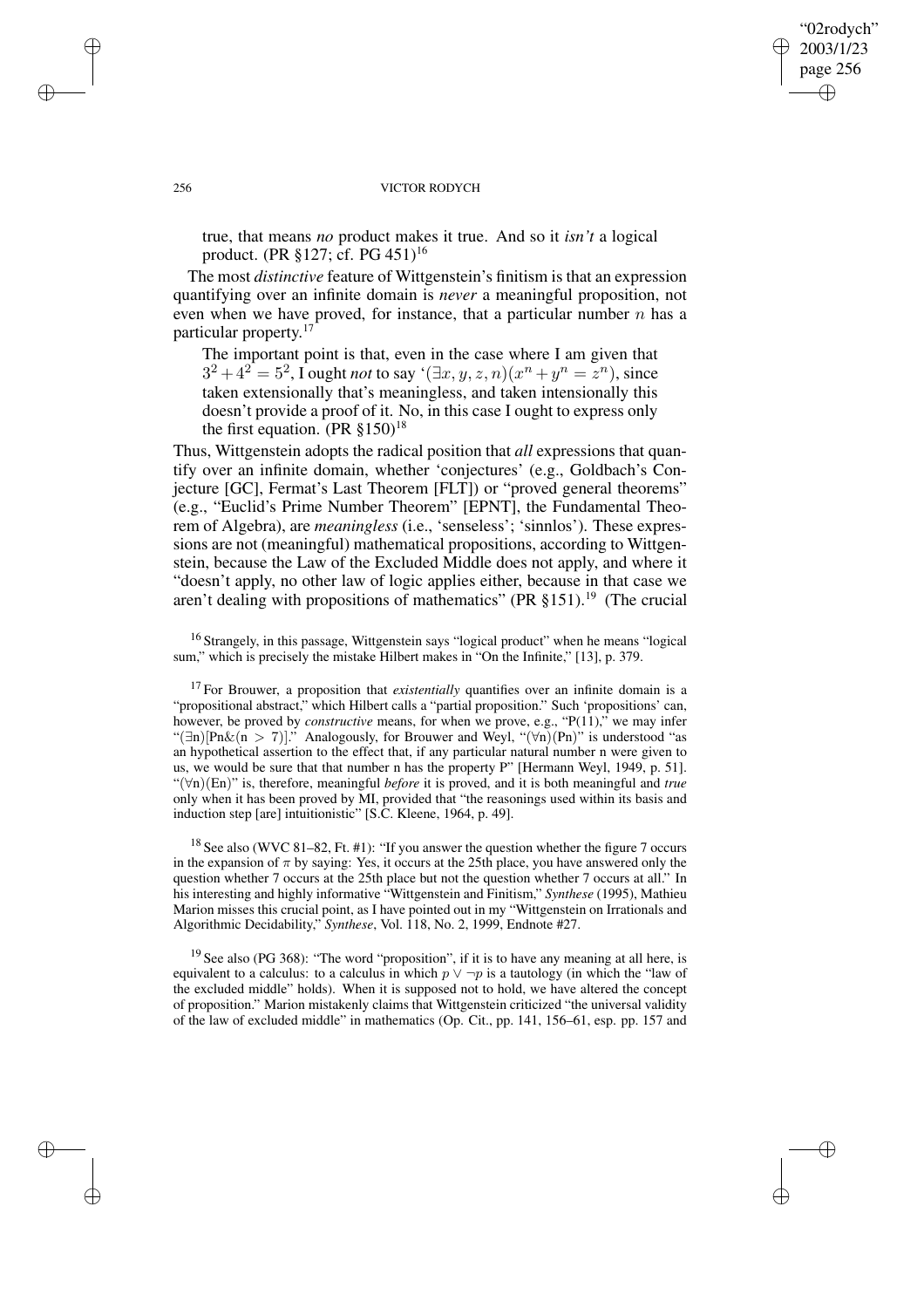"02rodych" 2003/1/23 page 256 ✐ ✐

✐

✐

#### 256 VICTOR RODYCH

true, that means *no* product makes it true. And so it *isn't* a logical product. (PR §127; cf. PG 451)<sup>16</sup>

The most *distinctive* feature of Wittgenstein's finitism is that an expression quantifying over an infinite domain is *never* a meaningful proposition, not even when we have proved, for instance, that a particular number  $n$  has a particular property. 17

The important point is that, even in the case where I am given that  $3^2 + 4^2 = 5^2$ , I ought *not* to say ' $(\exists x, y, z, n)(x^n + y^n = z^n)$ , since taken extensionally that's meaningless, and taken intensionally this doesn't provide a proof of it. No, in this case I ought to express only the first equation. (PR  $\S 150$ )<sup>18</sup>

Thus, Wittgenstein adopts the radical position that *all* expressions that quantify over an infinite domain, whether 'conjectures' (e.g., Goldbach's Conjecture [GC], Fermat's Last Theorem [FLT]) or "proved general theorems" (e.g., "Euclid's Prime Number Theorem" [EPNT], the Fundamental Theorem of Algebra), are *meaningless* (i.e., 'senseless'; 'sinnlos'). These expressions are not (meaningful) mathematical propositions, according to Wittgenstein, because the Law of the Excluded Middle does not apply, and where it "doesn't apply, no other law of logic applies either, because in that case we aren't dealing with propositions of mathematics" (PR  $\S 151$ ).<sup>19</sup> (The crucial

<sup>16</sup> Strangely, in this passage, Wittgenstein says "logical product" when he means "logical sum," which is precisely the mistake Hilbert makes in "On the Infinite," [13], p. 379.

<sup>17</sup> For Brouwer, a proposition that *existentially* quantifies over an infinite domain is a "propositional abstract," which Hilbert calls a "partial proposition." Such 'propositions' can, however, be proved by *constructive* means, for when we prove, e.g., "P(11)," we may infer "(∃n)[Pn&(n > 7)]." Analogously, for Brouwer and Weyl, "(∀n)(Pn)" is understood "as an hypothetical assertion to the effect that, if any particular natural number n were given to us, we would be sure that that number n has the property P" [Hermann Weyl, 1949, p. 51]. "(∀n)(En)" is, therefore, meaningful *before* it is proved, and it is both meaningful and *true* only when it has been proved by MI, provided that "the reasonings used within its basis and induction step [are] intuitionistic" [S.C. Kleene, 1964, p. 49].

<sup>18</sup> See also (WVC 81–82, Ft. #1): "If you answer the question whether the figure 7 occurs in the expansion of  $\pi$  by saying: Yes, it occurs at the 25th place, you have answered only the question whether 7 occurs at the 25th place but not the question whether 7 occurs at all." In his interesting and highly informative "Wittgenstein and Finitism," *Synthese* (1995), Mathieu Marion misses this crucial point, as I have pointed out in my "Wittgenstein on Irrationals and Algorithmic Decidability," *Synthese*, Vol. 118, No. 2, 1999, Endnote #27.

<sup>19</sup> See also (PG 368): "The word "proposition", if it is to have any meaning at all here, is equivalent to a calculus: to a calculus in which  $p \lor \neg p$  is a tautology (in which the "law of the excluded middle" holds). When it is supposed not to hold, we have altered the concept of proposition." Marion mistakenly claims that Wittgenstein criticized "the universal validity of the law of excluded middle" in mathematics (Op. Cit., pp. 141, 156–61, esp. pp. 157 and

✐

✐

✐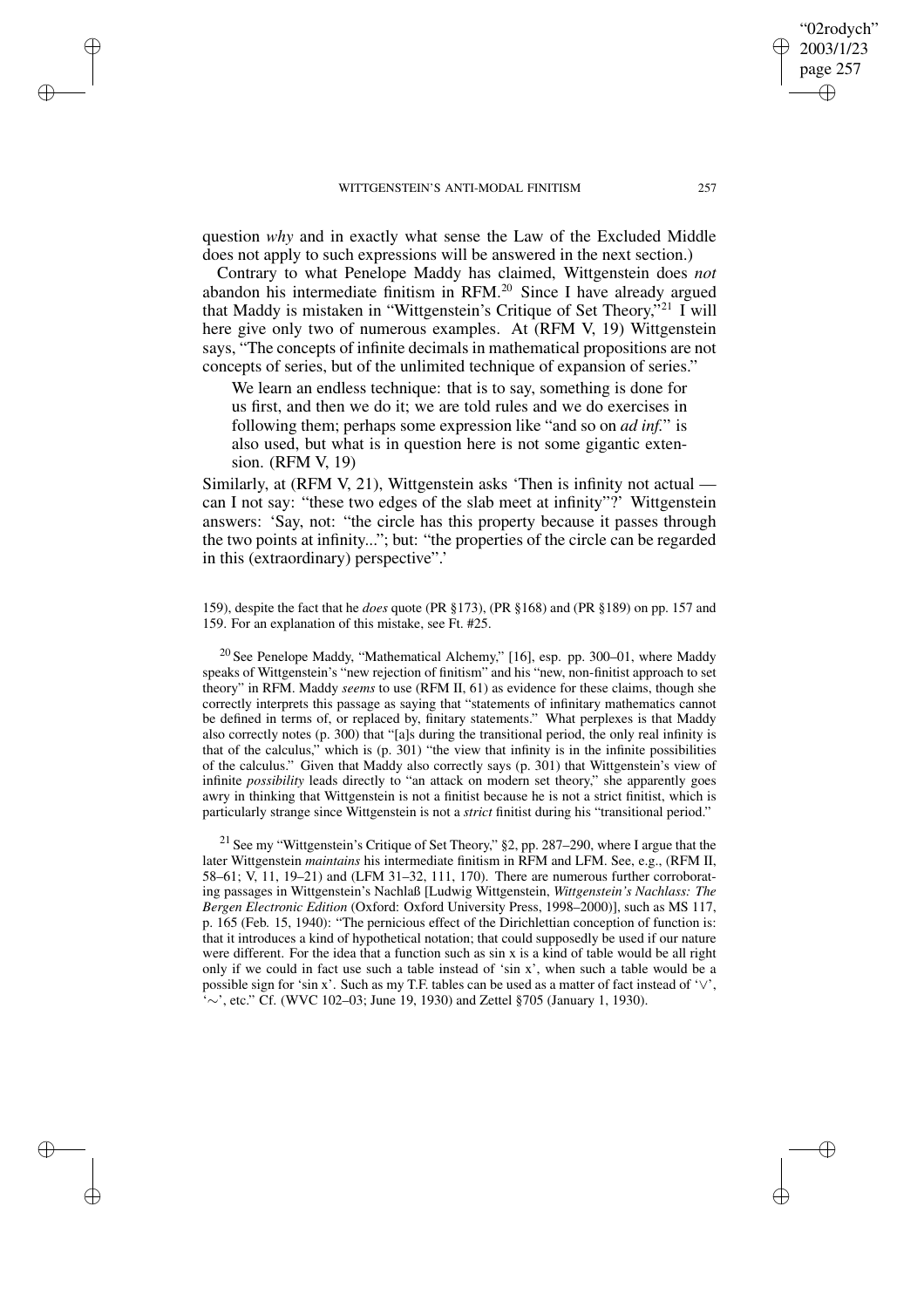✐

✐

✐

✐

question *why* and in exactly what sense the Law of the Excluded Middle does not apply to such expressions will be answered in the next section.)

Contrary to what Penelope Maddy has claimed, Wittgenstein does *not* abandon his intermediate finitism in  $RFM<sup>20</sup>$  Since I have already argued that Maddy is mistaken in "Wittgenstein's Critique of Set Theory,"<sup>21</sup> I will here give only two of numerous examples. At (RFM V, 19) Wittgenstein says, "The concepts of infinite decimals in mathematical propositions are not concepts of series, but of the unlimited technique of expansion of series."

We learn an endless technique: that is to say, something is done for us first, and then we do it; we are told rules and we do exercises in following them; perhaps some expression like "and so on *ad inf.*" is also used, but what is in question here is not some gigantic extension. (RFM V, 19)

Similarly, at (RFM V, 21), Wittgenstein asks 'Then is infinity not actual can I not say: "these two edges of the slab meet at infinity"?' Wittgenstein answers: 'Say, not: "the circle has this property because it passes through the two points at infinity..."; but: "the properties of the circle can be regarded in this (extraordinary) perspective".'

159), despite the fact that he *does* quote (PR §173), (PR §168) and (PR §189) on pp. 157 and 159. For an explanation of this mistake, see Ft. #25.

 $20$  See Penelope Maddy, "Mathematical Alchemy," [16], esp. pp. 300–01, where Maddy speaks of Wittgenstein's "new rejection of finitism" and his "new, non-finitist approach to set theory" in RFM. Maddy *seems* to use (RFM II, 61) as evidence for these claims, though she correctly interprets this passage as saying that "statements of infinitary mathematics cannot be defined in terms of, or replaced by, finitary statements." What perplexes is that Maddy also correctly notes (p. 300) that "[a]s during the transitional period, the only real infinity is that of the calculus," which is (p. 301) "the view that infinity is in the infinite possibilities of the calculus." Given that Maddy also correctly says (p. 301) that Wittgenstein's view of infinite *possibility* leads directly to "an attack on modern set theory," she apparently goes awry in thinking that Wittgenstein is not a finitist because he is not a strict finitist, which is particularly strange since Wittgenstein is not a *strict* finitist during his "transitional period."

<sup>21</sup> See my "Wittgenstein's Critique of Set Theory," §2, pp. 287–290, where I argue that the later Wittgenstein *maintains* his intermediate finitism in RFM and LFM. See, e.g., (RFM II, 58–61; V, 11, 19–21) and (LFM 31–32, 111, 170). There are numerous further corroborating passages in Wittgenstein's Nachlaß [Ludwig Wittgenstein, *Wittgenstein's Nachlass: The Bergen Electronic Edition* (Oxford: Oxford University Press, 1998–2000)], such as MS 117, p. 165 (Feb. 15, 1940): "The pernicious effect of the Dirichlettian conception of function is: that it introduces a kind of hypothetical notation; that could supposedly be used if our nature were different. For the idea that a function such as sin x is a kind of table would be all right only if we could in fact use such a table instead of 'sin x', when such a table would be a possible sign for 'sin x'. Such as my T.F. tables can be used as a matter of fact instead of '∨', '∼', etc." Cf. (WVC 102–03; June 19, 1930) and Zettel §705 (January 1, 1930).

"02rodych" 2003/1/23 page 257

✐

✐

✐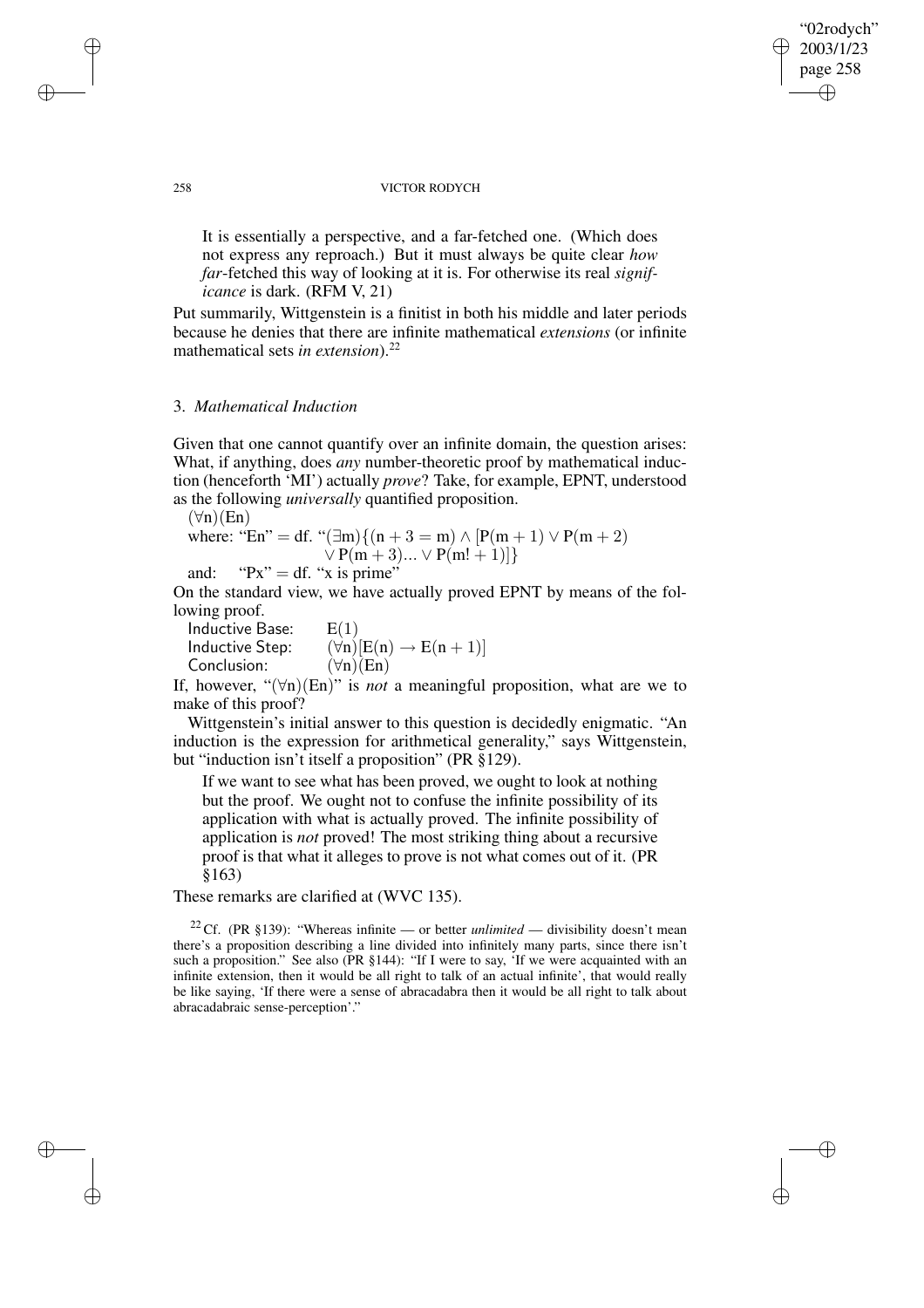### "02rodych" 2003/1/23 page 258 ✐ ✐

✐

✐

#### 258 VICTOR RODYCH

It is essentially a perspective, and a far-fetched one. (Which does not express any reproach.) But it must always be quite clear *how far*-fetched this way of looking at it is. For otherwise its real *significance* is dark. (RFM V, 21)

Put summarily, Wittgenstein is a finitist in both his middle and later periods because he denies that there are infinite mathematical *extensions* (or infinite mathematical sets *in extension*).<sup>22</sup>

## 3. *Mathematical Induction*

Given that one cannot quantify over an infinite domain, the question arises: What, if anything, does *any* number-theoretic proof by mathematical induction (henceforth 'MI') actually *prove*? Take, for example, EPNT, understood as the following *universally* quantified proposition.

 $(\forall n)(En)$ where: "En" = df. " $(\exists m){(n+3 = m) \land [P(m + 1) \lor P(m + 2)]}$  $\vee P(m+3)... \vee P(m!+1)]$ 

and: " $Px'' = df$ . "x is prime"

On the standard view, we have actually proved EPNT by means of the following proof.

| Inductive Base: | E(1)                                   |
|-----------------|----------------------------------------|
| Inductive Step: | $(\forall n)[E(n) \rightarrow E(n+1)]$ |
| Conclusion:     | $(\forall n)(En)$                      |

If, however, " $(\forall n)(En)$ " is *not* a meaningful proposition, what are we to make of this proof?

Wittgenstein's initial answer to this question is decidedly enigmatic. "An induction is the expression for arithmetical generality," says Wittgenstein, but "induction isn't itself a proposition" (PR §129).

If we want to see what has been proved, we ought to look at nothing but the proof. We ought not to confuse the infinite possibility of its application with what is actually proved. The infinite possibility of application is *not* proved! The most striking thing about a recursive proof is that what it alleges to prove is not what comes out of it. (PR §163)

These remarks are clarified at (WVC 135).

<sup>22</sup> Cf. (PR §139): "Whereas infinite — or better *unlimited* — divisibility doesn't mean there's a proposition describing a line divided into infinitely many parts, since there isn't such a proposition." See also (PR §144): "If I were to say, 'If we were acquainted with an infinite extension, then it would be all right to talk of an actual infinite', that would really be like saying, 'If there were a sense of abracadabra then it would be all right to talk about abracadabraic sense-perception'."

✐

✐

✐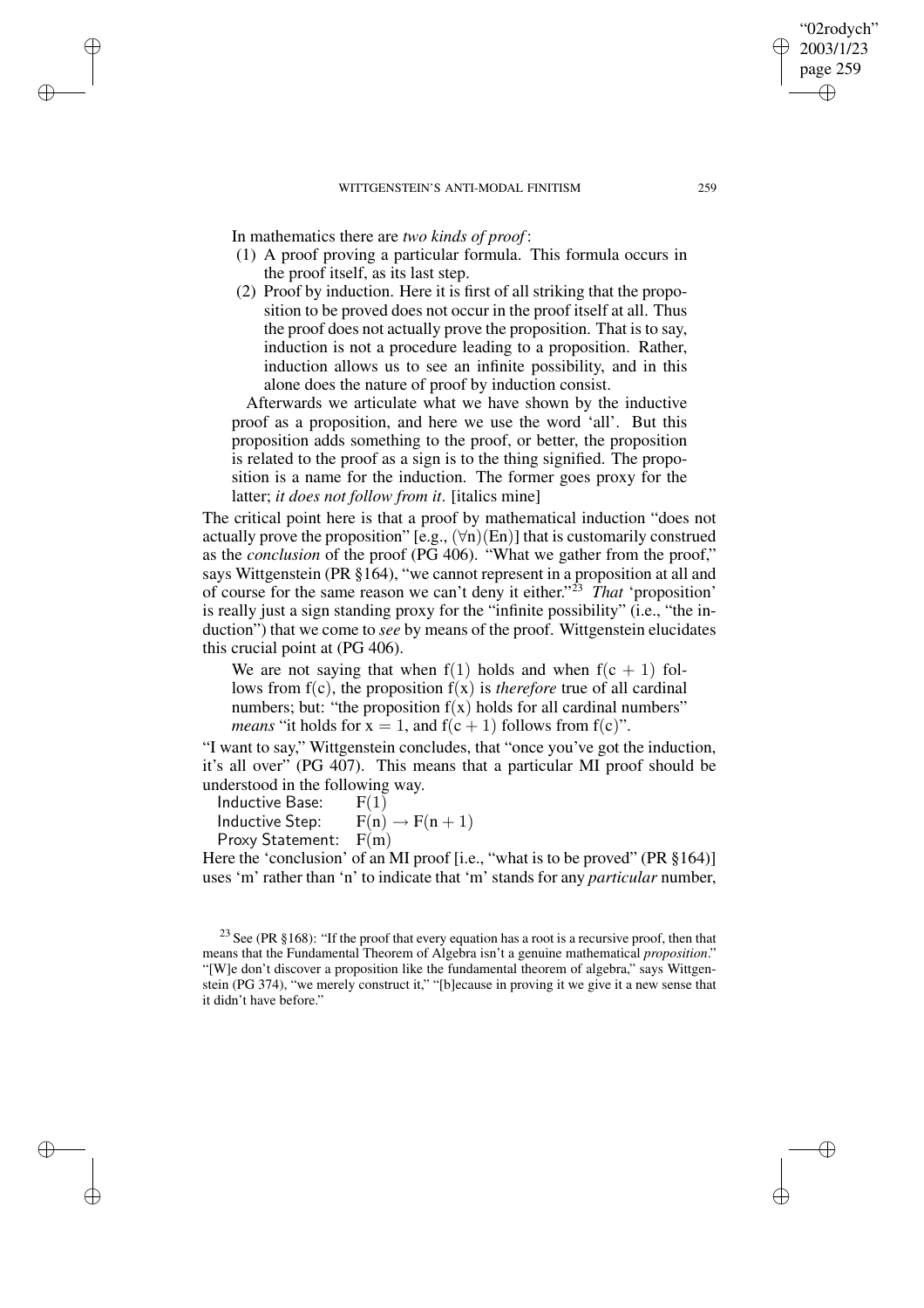In mathematics there are *two kinds of proof* :

✐

✐

✐

✐

- (1) A proof proving a particular formula. This formula occurs in the proof itself, as its last step.
- (2) Proof by induction. Here it is first of all striking that the proposition to be proved does not occur in the proof itself at all. Thus the proof does not actually prove the proposition. That is to say, induction is not a procedure leading to a proposition. Rather, induction allows us to see an infinite possibility, and in this alone does the nature of proof by induction consist.

Afterwards we articulate what we have shown by the inductive proof as a proposition, and here we use the word 'all'. But this proposition adds something to the proof, or better, the proposition is related to the proof as a sign is to the thing signified. The proposition is a name for the induction. The former goes proxy for the latter; *it does not follow from it*. [italics mine]

The critical point here is that a proof by mathematical induction "does not actually prove the proposition" [e.g.,  $(\forall n)(En)$ ] that is customarily construed as the *conclusion* of the proof (PG 406). "What we gather from the proof," says Wittgenstein (PR §164), "we cannot represent in a proposition at all and of course for the same reason we can't deny it either." <sup>23</sup> *That* 'proposition' is really just a sign standing proxy for the "infinite possibility" (i.e., "the induction") that we come to *see* by means of the proof. Wittgenstein elucidates this crucial point at (PG 406).

We are not saying that when  $f(1)$  holds and when  $f(c + 1)$  follows from  $f(c)$ , the proposition  $f(x)$  is *therefore* true of all cardinal numbers; but: "the proposition  $f(x)$  holds for all cardinal numbers" *means* "it holds for  $x = 1$ , and  $f(c + 1)$  follows from  $f(c)$ ".

"I want to say," Wittgenstein concludes, that "once you've got the induction, it's all over" (PG 407). This means that a particular MI proof should be understood in the following way.

Inductive Base:  $F(1)$ 

Inductive Step:  $F(n) \rightarrow F(n+1)$ 

Proxy Statement: F(m)

Here the 'conclusion' of an MI proof [i.e., "what is to be proved" (PR §164)] uses 'm' rather than 'n' to indicate that 'm' stands for any *particular* number,

"02rodych" 2003/1/23 page 259

✐

✐

✐

<sup>&</sup>lt;sup>23</sup> See (PR §168): "If the proof that every equation has a root is a recursive proof, then that means that the Fundamental Theorem of Algebra isn't a genuine mathematical *proposition*." "[W]e don't discover a proposition like the fundamental theorem of algebra," says Wittgenstein (PG 374), "we merely construct it," "[b]ecause in proving it we give it a new sense that it didn't have before."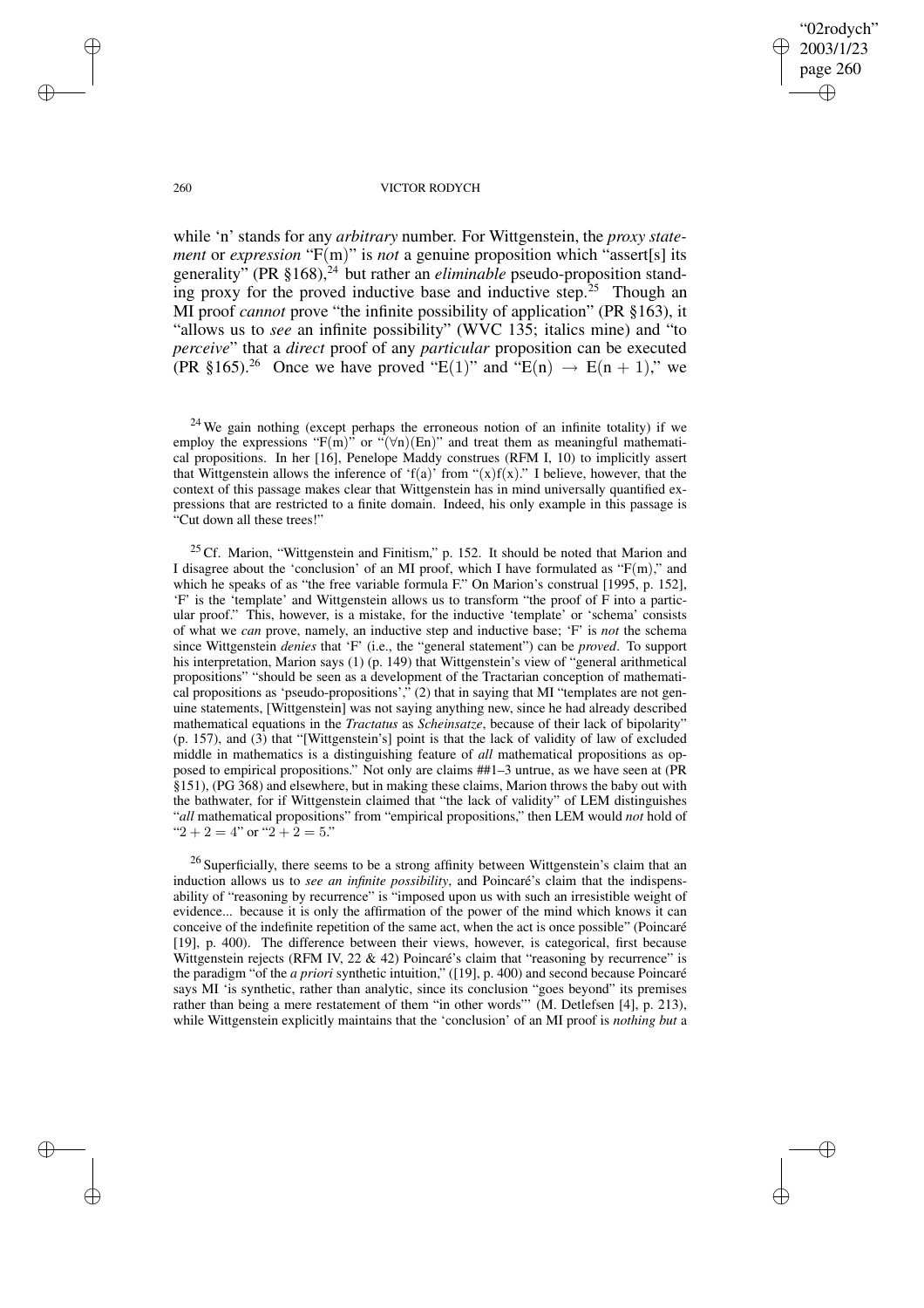✐

✐

#### 260 VICTOR RODYCH

while 'n' stands for any *arbitrary* number. For Wittgenstein, the *proxy statement* or *expression* "F(m)" is *not* a genuine proposition which "assert[s] its generality" (PR  $\S 168$ ),<sup>24</sup> but rather an *eliminable* pseudo-proposition standing proxy for the proved inductive base and inductive step.<sup>25</sup> Though an MI proof *cannot* prove "the infinite possibility of application" (PR §163), it "allows us to *see* an infinite possibility" (WVC 135; italics mine) and "to *perceive*" that a *direct* proof of any *particular* proposition can be executed (PR §165).<sup>26</sup> Once we have proved "E(1)" and "E(n)  $\rightarrow$  E(n + 1)," we

 $24$  We gain nothing (except perhaps the erroneous notion of an infinite totality) if we employ the expressions " $F(m)$ " or " $(\forall n)(En)$ " and treat them as meaningful mathematical propositions. In her [16], Penelope Maddy construes (RFM I, 10) to implicitly assert that Wittgenstein allows the inference of 'f(a)' from " $(x)f(x)$ ." I believe, however, that the context of this passage makes clear that Wittgenstein has in mind universally quantified expressions that are restricted to a finite domain. Indeed, his only example in this passage is "Cut down all these trees!"

 $25$  Cf. Marion, "Wittgenstein and Finitism," p. 152. It should be noted that Marion and I disagree about the 'conclusion' of an MI proof, which I have formulated as "F(m)," and which he speaks of as "the free variable formula F." On Marion's construal [1995, p. 152], 'F' is the 'template' and Wittgenstein allows us to transform "the proof of F into a particular proof." This, however, is a mistake, for the inductive 'template' or 'schema' consists of what we *can* prove, namely, an inductive step and inductive base; 'F' is *not* the schema since Wittgenstein *denies* that 'F' (i.e., the "general statement") can be *proved*. To support his interpretation, Marion says (1) (p. 149) that Wittgenstein's view of "general arithmetical propositions" "should be seen as a development of the Tractarian conception of mathematical propositions as 'pseudo-propositions', $\overline{C}$ , (2) that in saying that MI "templates are not genuine statements, [Wittgenstein] was not saying anything new, since he had already described mathematical equations in the *Tractatus* as *Scheinsatze*, because of their lack of bipolarity" (p. 157), and (3) that "[Wittgenstein's] point is that the lack of validity of law of excluded middle in mathematics is a distinguishing feature of *all* mathematical propositions as opposed to empirical propositions." Not only are claims ##1–3 untrue, as we have seen at (PR §151), (PG 368) and elsewhere, but in making these claims, Marion throws the baby out with the bathwater, for if Wittgenstein claimed that "the lack of validity" of LEM distinguishes "*all* mathematical propositions" from "empirical propositions," then LEM would *not* hold of " $2 + 2 = 4$ " or " $2 + 2 = 5$ ."

<sup>26</sup> Superficially, there seems to be a strong affinity between Wittgenstein's claim that an induction allows us to *see an infinite possibility*, and Poincaré's claim that the indispensability of "reasoning by recurrence" is "imposed upon us with such an irresistible weight of evidence... because it is only the affirmation of the power of the mind which knows it can conceive of the indefinite repetition of the same act, when the act is once possible" (Poincaré [19], p. 400). The difference between their views, however, is categorical, first because Wittgenstein rejects (RFM IV, 22  $\&$  42) Poincaré's claim that "reasoning by recurrence" is the paradigm "of the *a priori* synthetic intuition," ([19], p. 400) and second because Poincaré says MI 'is synthetic, rather than analytic, since its conclusion "goes beyond" its premises rather than being a mere restatement of them "in other words"' (M. Detlefsen [4], p. 213), while Wittgenstein explicitly maintains that the 'conclusion' of an MI proof is *nothing but* a

✐

✐

✐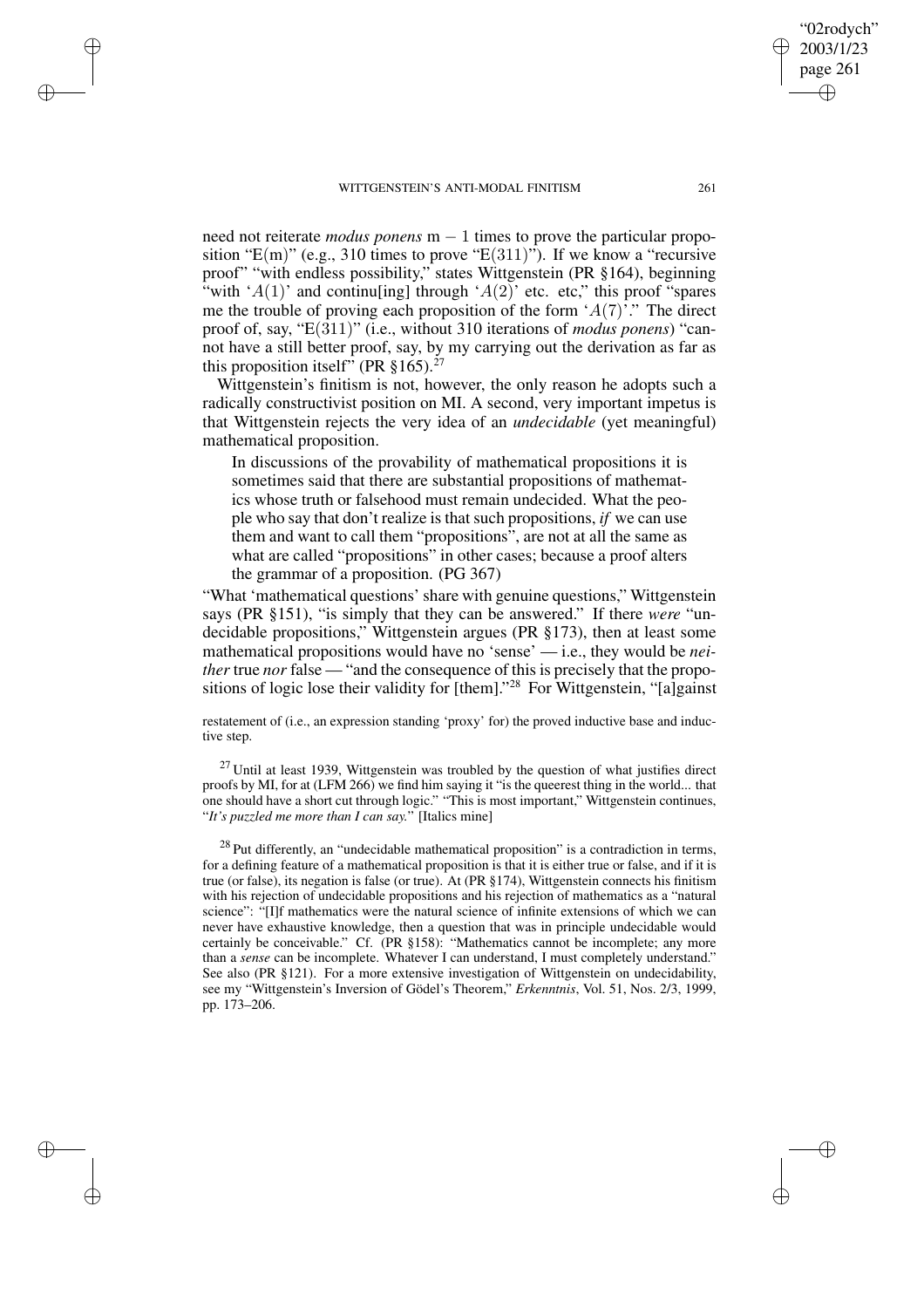✐

✐

✐

✐

need not reiterate *modus ponens* m − 1 times to prove the particular proposition " $E(m)$ " (e.g., 310 times to prove " $E(311)$ "). If we know a "recursive proof" "with endless possibility," states Wittgenstein (PR §164), beginning "with 'A(1)' and continuling through 'A(2)' etc. etc." this proof "spares" me the trouble of proving each proposition of the form  $A(7)$ ". The direct proof of, say, "E(311)" (i.e., without 310 iterations of *modus ponens*) "cannot have a still better proof, say, by my carrying out the derivation as far as this proposition itself" (PR  $\S 165$ ).<sup>27</sup>

Wittgenstein's finitism is not, however, the only reason he adopts such a radically constructivist position on MI. A second, very important impetus is that Wittgenstein rejects the very idea of an *undecidable* (yet meaningful) mathematical proposition.

In discussions of the provability of mathematical propositions it is sometimes said that there are substantial propositions of mathematics whose truth or falsehood must remain undecided. What the people who say that don't realize is that such propositions, *if* we can use them and want to call them "propositions", are not at all the same as what are called "propositions" in other cases; because a proof alters the grammar of a proposition. (PG 367)

"What 'mathematical questions' share with genuine questions," Wittgenstein says (PR §151), "is simply that they can be answered." If there *were* "undecidable propositions," Wittgenstein argues (PR §173), then at least some mathematical propositions would have no 'sense' — i.e., they would be *neither* true *nor* false — "and the consequence of this is precisely that the propositions of logic lose their validity for [them]." <sup>28</sup> For Wittgenstein, "[a]gainst

restatement of (i.e., an expression standing 'proxy' for) the proved inductive base and inductive step.

 $27$  Until at least 1939, Wittgenstein was troubled by the question of what justifies direct proofs by MI, for at (LFM 266) we find him saying it "is the queerest thing in the world... that one should have a short cut through logic." "This is most important," Wittgenstein continues, "*It's puzzled me more than I can say.*" [Italics mine]

 $28$  Put differently, an "undecidable mathematical proposition" is a contradiction in terms, for a defining feature of a mathematical proposition is that it is either true or false, and if it is true (or false), its negation is false (or true). At (PR §174), Wittgenstein connects his finitism with his rejection of undecidable propositions and his rejection of mathematics as a "natural science": "[I]f mathematics were the natural science of infinite extensions of which we can never have exhaustive knowledge, then a question that was in principle undecidable would certainly be conceivable." Cf. (PR §158): "Mathematics cannot be incomplete; any more than a *sense* can be incomplete. Whatever I can understand, I must completely understand." See also (PR §121). For a more extensive investigation of Wittgenstein on undecidability, see my "Wittgenstein's Inversion of Gödel's Theorem," *Erkenntnis*, Vol. 51, Nos. 2/3, 1999, pp. 173–206.

"02rodych" 2003/1/23 page 261

✐

✐

✐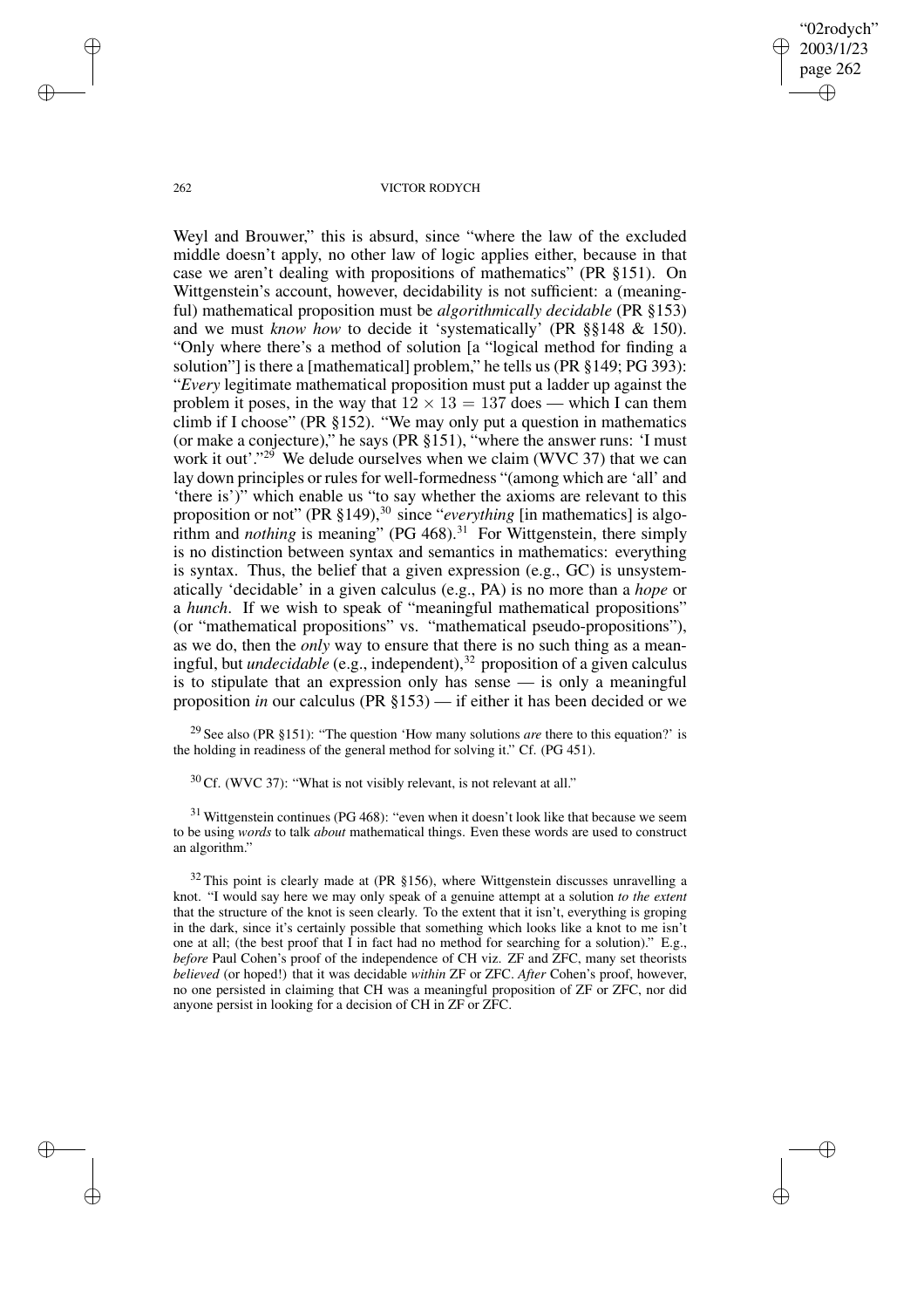"02rodych" 2003/1/23 page 262 ✐ ✐

✐

✐

#### 262 VICTOR RODYCH

Weyl and Brouwer," this is absurd, since "where the law of the excluded middle doesn't apply, no other law of logic applies either, because in that case we aren't dealing with propositions of mathematics" (PR §151). On Wittgenstein's account, however, decidability is not sufficient: a (meaningful) mathematical proposition must be *algorithmically decidable* (PR §153) and we must *know how* to decide it 'systematically' (PR §§148 & 150). "Only where there's a method of solution [a "logical method for finding a solution"] is there a [mathematical] problem," he tells us (PR §149; PG 393): "*Every* legitimate mathematical proposition must put a ladder up against the problem it poses, in the way that  $12 \times 13 = 137$  does — which I can them climb if I choose" (PR §152). "We may only put a question in mathematics (or make a conjecture)," he says (PR §151), "where the answer runs: 'I must work it out'."<sup>29</sup> We delude ourselves when we claim (WVC 37) that we can lay down principles or rules for well-formedness "(among which are 'all' and 'there is')" which enable us "to say whether the axioms are relevant to this proposition or not" (PR §149),<sup>30</sup> since "*everything* [in mathematics] is algorithm and *nothing* is meaning" (PG 468).<sup>31</sup> For Wittgenstein, there simply is no distinction between syntax and semantics in mathematics: everything is syntax. Thus, the belief that a given expression (e.g., GC) is unsystematically 'decidable' in a given calculus (e.g., PA) is no more than a *hope* or a *hunch*. If we wish to speak of "meaningful mathematical propositions" (or "mathematical propositions" vs. "mathematical pseudo-propositions"), as we do, then the *only* way to ensure that there is no such thing as a meaningful, but *undecidable* (e.g., independent),<sup>32</sup> proposition of a given calculus is to stipulate that an expression only has sense — is only a meaningful proposition *in* our calculus (PR §153) — if either it has been decided or we

<sup>29</sup> See also (PR §151): "The question 'How many solutions *are* there to this equation?' is the holding in readiness of the general method for solving it." Cf. (PG 451).

 $30$  Cf. (WVC 37): "What is not visibly relevant, is not relevant at all."

 $31$  Wittgenstein continues (PG 468): "even when it doesn't look like that because we seem to be using *words* to talk *about* mathematical things. Even these words are used to construct an algorithm."

 $32$  This point is clearly made at (PR §156), where Wittgenstein discusses unravelling a knot. "I would say here we may only speak of a genuine attempt at a solution *to the extent* that the structure of the knot is seen clearly. To the extent that it isn't, everything is groping in the dark, since it's certainly possible that something which looks like a knot to me isn't one at all; (the best proof that I in fact had no method for searching for a solution)." E.g., *before* Paul Cohen's proof of the independence of CH viz. ZF and ZFC, many set theorists *believed* (or hoped!) that it was decidable *within* ZF or ZFC. *After* Cohen's proof, however, no one persisted in claiming that CH was a meaningful proposition of ZF or ZFC, nor did anyone persist in looking for a decision of CH in ZF or ZFC.

✐

✐

✐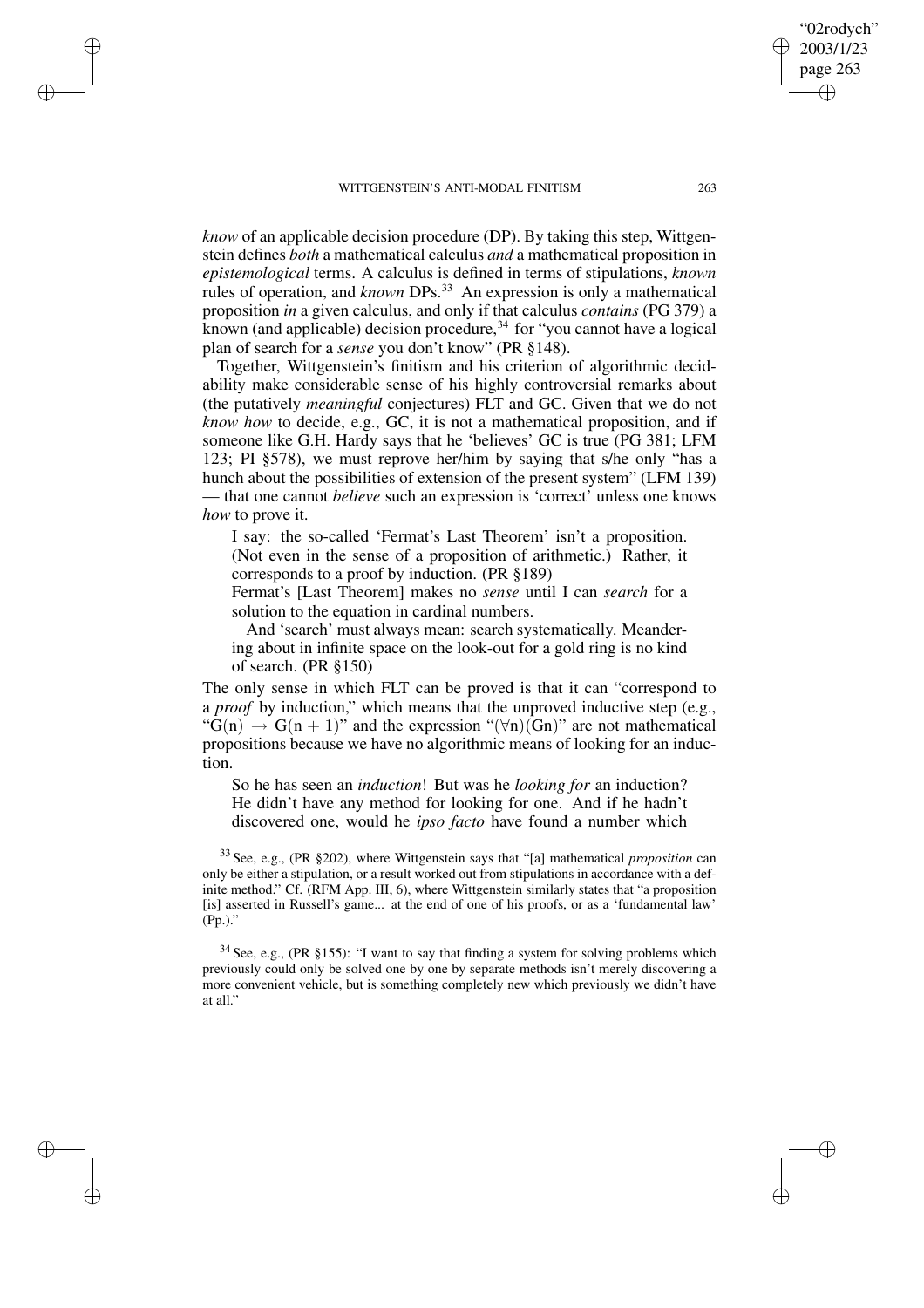✐

✐

✐

✐

*know* of an applicable decision procedure (DP). By taking this step, Wittgenstein defines *both* a mathematical calculus *and* a mathematical proposition in *epistemological* terms. A calculus is defined in terms of stipulations, *known* rules of operation, and *known* DPs.<sup>33</sup> An expression is only a mathematical proposition *in* a given calculus, and only if that calculus *contains* (PG 379) a known (and applicable) decision procedure, $34$  for "you cannot have a logical plan of search for a *sense* you don't know" (PR §148).

Together, Wittgenstein's finitism and his criterion of algorithmic decidability make considerable sense of his highly controversial remarks about (the putatively *meaningful* conjectures) FLT and GC. Given that we do not *know how* to decide, e.g., GC, it is not a mathematical proposition, and if someone like G.H. Hardy says that he 'believes' GC is true (PG 381; LFM 123; PI §578), we must reprove her/him by saying that s/he only "has a hunch about the possibilities of extension of the present system" (LFM 139) — that one cannot *believe* such an expression is 'correct' unless one knows *how* to prove it.

I say: the so-called 'Fermat's Last Theorem' isn't a proposition. (Not even in the sense of a proposition of arithmetic.) Rather, it corresponds to a proof by induction. (PR §189)

Fermat's [Last Theorem] makes no *sense* until I can *search* for a solution to the equation in cardinal numbers.

And 'search' must always mean: search systematically. Meandering about in infinite space on the look-out for a gold ring is no kind of search. (PR §150)

The only sense in which FLT can be proved is that it can "correspond to a *proof* by induction," which means that the unproved inductive step (e.g., " $G(n) \rightarrow G(n + 1)$ " and the expression " $(\forall n)(Gn)$ " are not mathematical propositions because we have no algorithmic means of looking for an induction.

So he has seen an *induction*! But was he *looking for* an induction? He didn't have any method for looking for one. And if he hadn't discovered one, would he *ipso facto* have found a number which

<sup>33</sup> See, e.g., (PR §202), where Wittgenstein says that "[a] mathematical *proposition* can only be either a stipulation, or a result worked out from stipulations in accordance with a definite method." Cf. (RFM App. III, 6), where Wittgenstein similarly states that "a proposition [is] asserted in Russell's game... at the end of one of his proofs, or as a 'fundamental law' (Pp.)."

<sup>34</sup> See, e.g., (PR §155): "I want to say that finding a system for solving problems which previously could only be solved one by one by separate methods isn't merely discovering a more convenient vehicle, but is something completely new which previously we didn't have at all."

"02rodych" 2003/1/23 page 263

✐

✐

✐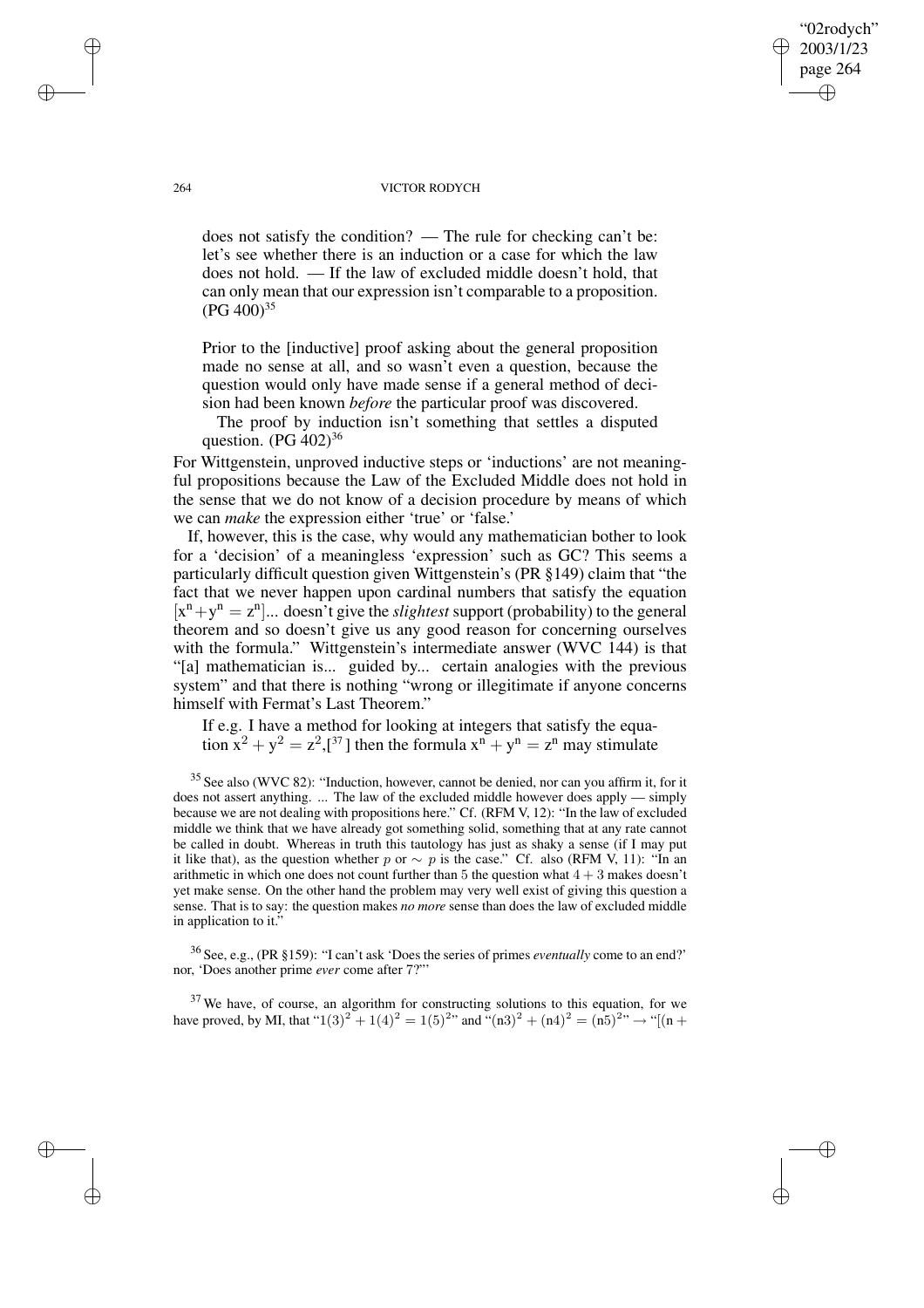#### 264 VICTOR RODYCH

"02rodych" 2003/1/23 page 264

✐

✐

✐

✐

does not satisfy the condition? — The rule for checking can't be: let's see whether there is an induction or a case for which the law does not hold. — If the law of excluded middle doesn't hold, that can only mean that our expression isn't comparable to a proposition.  $(PG 400)^{35}$ 

Prior to the [inductive] proof asking about the general proposition made no sense at all, and so wasn't even a question, because the question would only have made sense if a general method of decision had been known *before* the particular proof was discovered.

The proof by induction isn't something that settles a disputed question.  $(PG 402)^{36}$ 

For Wittgenstein, unproved inductive steps or 'inductions' are not meaningful propositions because the Law of the Excluded Middle does not hold in the sense that we do not know of a decision procedure by means of which we can *make* the expression either 'true' or 'false.'

If, however, this is the case, why would any mathematician bother to look for a 'decision' of a meaningless 'expression' such as GC? This seems a particularly difficult question given Wittgenstein's (PR §149) claim that "the fact that we never happen upon cardinal numbers that satisfy the equation  $[x<sup>n</sup> + y<sup>n</sup> = z<sup>n</sup>]...$  doesn't give the *slightest* support (probability) to the general theorem and so doesn't give us any good reason for concerning ourselves with the formula." Wittgenstein's intermediate answer (WVC 144) is that "[a] mathematician is... guided by... certain analogies with the previous system" and that there is nothing "wrong or illegitimate if anyone concerns himself with Fermat's Last Theorem."

If e.g. I have a method for looking at integers that satisfy the equation  $x^2 + y^2 = z^2$ ,  $z^{37}$  then the formula  $x^n + y^n = z^n$  may stimulate

<sup>35</sup> See also (WVC 82): "Induction, however, cannot be denied, nor can you affirm it, for it does not assert anything. ... The law of the excluded middle however does apply — simply because we are not dealing with propositions here." Cf. (RFM V, 12): "In the law of excluded middle we think that we have already got something solid, something that at any rate cannot be called in doubt. Whereas in truth this tautology has just as shaky a sense (if I may put it like that), as the question whether p or  $\sim p$  is the case." Cf. also (RFM V, 11): "In an arithmetic in which one does not count further than 5 the question what  $4 + 3$  makes doesn't yet make sense. On the other hand the problem may very well exist of giving this question a sense. That is to say: the question makes *no more* sense than does the law of excluded middle in application to it.'

<sup>36</sup> See, e.g., (PR §159): "I can't ask 'Does the series of primes *eventually* come to an end?' nor, 'Does another prime *ever* come after 7?"'

 $37$  We have, of course, an algorithm for constructing solutions to this equation, for we have proved, by MI, that " $1(3)^2 + 1(4)^2 = 1(5)^{2n}$  and " $(n3)^2 + (n4)^2 = (n5)^{2n} \rightarrow$  "[(n +

✐

✐

✐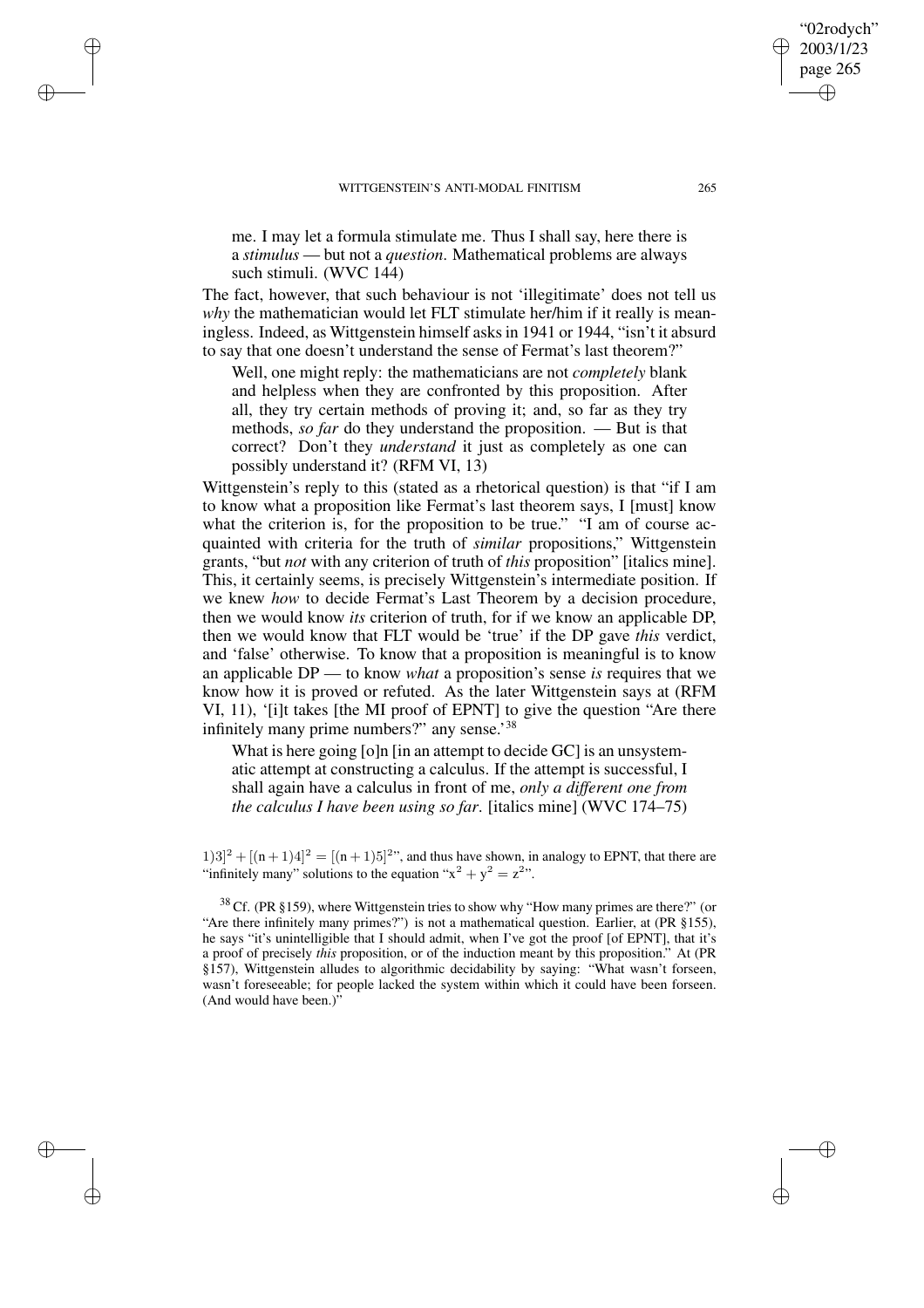✐

✐

✐

✐

me. I may let a formula stimulate me. Thus I shall say, here there is a *stimulus* — but not a *question*. Mathematical problems are always such stimuli. (WVC 144)

The fact, however, that such behaviour is not 'illegitimate' does not tell us *why* the mathematician would let FLT stimulate her/him if it really is meaningless. Indeed, as Wittgenstein himself asksin 1941 or 1944, "isn't it absurd to say that one doesn't understand the sense of Fermat's last theorem?"

Well, one might reply: the mathematicians are not *completely* blank and helpless when they are confronted by this proposition. After all, they try certain methods of proving it; and, so far as they try methods, *so far* do they understand the proposition. — But is that correct? Don't they *understand* it just as completely as one can possibly understand it? (RFM VI, 13)

Wittgenstein's reply to this (stated as a rhetorical question) is that "if I am to know what a proposition like Fermat's last theorem says, I [must] know what the criterion is, for the proposition to be true." "I am of course acquainted with criteria for the truth of *similar* propositions," Wittgenstein grants, "but *not* with any criterion of truth of *this* proposition" [italics mine]. This, it certainly seems, is precisely Wittgenstein's intermediate position. If we knew *how* to decide Fermat's Last Theorem by a decision procedure, then we would know *its* criterion of truth, for if we know an applicable DP, then we would know that FLT would be 'true' if the DP gave *this* verdict, and 'false' otherwise. To know that a proposition is meaningful is to know an applicable DP — to know *what* a proposition's sense *is* requires that we know how it is proved or refuted. As the later Wittgenstein says at (RFM VI, 11), '[i]t takes [the MI proof of EPNT] to give the question "Are there infinitely many prime numbers?" any sense.'38

What is here going [o]n [in an attempt to decide GC] is an unsystematic attempt at constructing a calculus. If the attempt is successful, I shall again have a calculus in front of me, *only a different one from the calculus I have been using so far*. [italics mine] (WVC 174–75)

 $(1)3]^2 + [(n+1)4]^2 = [(n+1)5]^{2}$ , and thus have shown, in analogy to EPNT, that there are "infinitely many" solutions to the equation " $x^2 + y^2 = z^2$ ".

 $38$  Cf. (PR §159), where Wittgenstein tries to show why "How many primes are there?" (or "Are there infinitely many primes?") is not a mathematical question. Earlier, at (PR §155), he says "it's unintelligible that I should admit, when I've got the proof [of EPNT], that it's a proof of precisely *this* proposition, or of the induction meant by this proposition." At (PR §157), Wittgenstein alludes to algorithmic decidability by saying: "What wasn't forseen, wasn't foreseeable; for people lacked the system within which it could have been forseen. (And would have been.)"

"02rodych" 2003/1/23 page 265

✐

✐

✐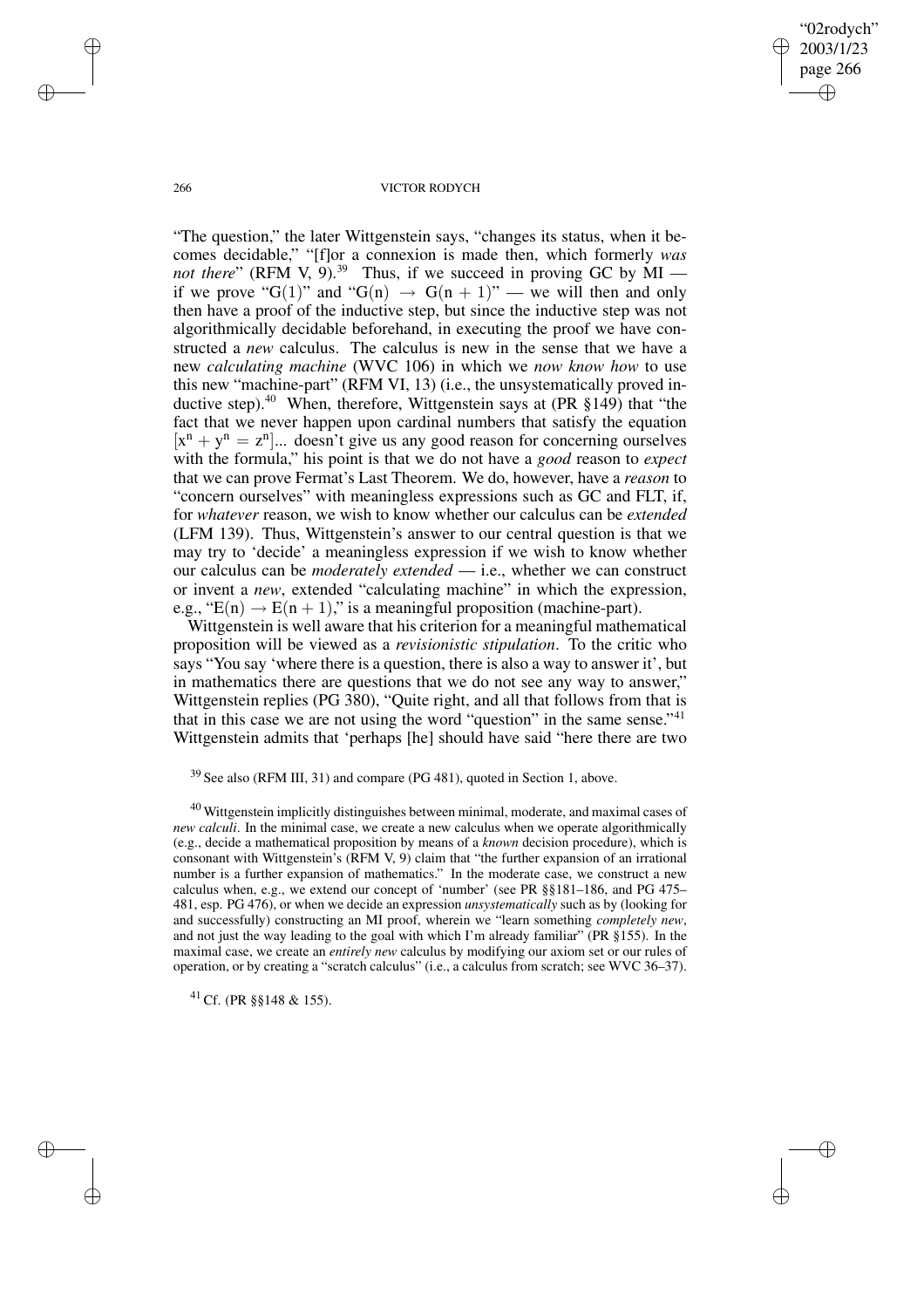"02rodych" 2003/1/23 page 266 ✐ ✐

✐

✐

#### 266 VICTOR RODYCH

"The question," the later Wittgenstein says, "changes its status, when it becomes decidable," "[f]or a connexion is made then, which formerly *was not there*" (RFM V, 9).<sup>39</sup> Thus, if we succeed in proving GC by  $\text{MI}$  if we prove "G(1)" and "G(n)  $\rightarrow$  G(n + 1)" — we will then and only then have a proof of the inductive step, but since the inductive step was not algorithmically decidable beforehand, in executing the proof we have constructed a *new* calculus. The calculus is new in the sense that we have a new *calculating machine* (WVC 106) in which we *now know how* to use this new "machine-part" (RFM VI, 13) (i.e., the unsystematically proved inductive step).<sup>40</sup> When, therefore, Wittgenstein says at  $(PR \S 149)$  that "the fact that we never happen upon cardinal numbers that satisfy the equation  $[x<sup>n</sup> + y<sup>n</sup> = z<sup>n</sup>]...$  doesn't give us any good reason for concerning ourselves with the formula," his point is that we do not have a *good* reason to *expect* that we can prove Fermat's Last Theorem. We do, however, have a *reason* to "concern ourselves" with meaningless expressions such as GC and FLT, if, for *whatever* reason, we wish to know whether our calculus can be *extended* (LFM 139). Thus, Wittgenstein's answer to our central question is that we may try to 'decide' a meaningless expression if we wish to know whether our calculus can be *moderately extended* — i.e., whether we can construct or invent a *new*, extended "calculating machine" in which the expression, e.g., " $E(n) \rightarrow E(n + 1)$ ," is a meaningful proposition (machine-part).

Wittgenstein is well aware that his criterion for a meaningful mathematical proposition will be viewed as a *revisionistic stipulation*. To the critic who says "You say 'where there is a question, there is also a way to answer it', but in mathematics there are questions that we do not see any way to answer," Wittgenstein replies (PG 380), "Quite right, and all that follows from that is that in this case we are not using the word "question" in the same sense."<sup>41</sup> Wittgenstein admits that 'perhaps [he] should have said "here there are two

<sup>41</sup> Cf. (PR §§148 & 155).

✐

✐

✐

<sup>39</sup> See also (RFM III, 31) and compare (PG 481), quoted in Section 1, above.

 $40$  Wittgenstein implicitly distinguishes between minimal, moderate, and maximal cases of *new calculi*. In the minimal case, we create a new calculus when we operate algorithmically (e.g., decide a mathematical proposition by means of a *known* decision procedure), which is consonant with Wittgenstein's (RFM V, 9) claim that "the further expansion of an irrational number is a further expansion of mathematics." In the moderate case, we construct a new calculus when, e.g., we extend our concept of 'number' (see PR §§181–186, and PG 475– 481, esp. PG 476), or when we decide an expression *unsystematically* such as by (looking for and successfully) constructing an MI proof, wherein we "learn something *completely new*, and not just the way leading to the goal with which I'm already familiar" (PR §155). In the maximal case, we create an *entirely new* calculus by modifying our axiom set or our rules of operation, or by creating a "scratch calculus" (i.e., a calculus from scratch; see WVC 36–37).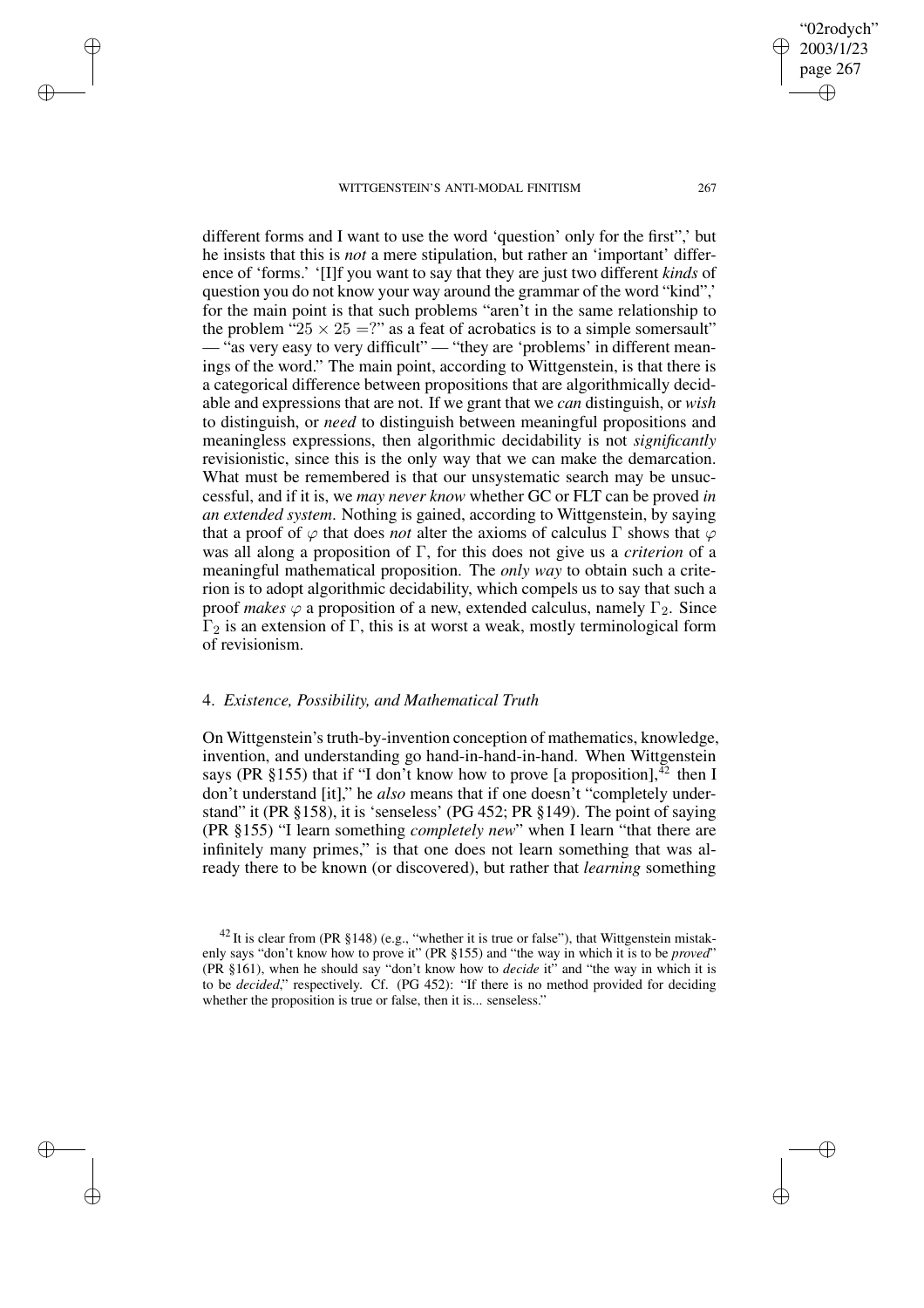✐

✐

✐

✐

different forms and I want to use the word 'question' only for the first",' but he insists that this is *not* a mere stipulation, but rather an 'important' difference of 'forms.' '[I]f you want to say that they are just two different *kinds* of question you do not know your way around the grammar of the word "kind",' for the main point is that such problems "aren't in the same relationship to the problem " $25 \times 25 =$ ?" as a feat of acrobatics is to a simple somersault" — "as very easy to very difficult" — "they are 'problems' in different meanings of the word." The main point, according to Wittgenstein, is that there is a categorical difference between propositions that are algorithmically decidable and expressions that are not. If we grant that we *can* distinguish, or *wish* to distinguish, or *need* to distinguish between meaningful propositions and meaningless expressions, then algorithmic decidability is not *significantly* revisionistic, since this is the only way that we can make the demarcation. What must be remembered is that our unsystematic search may be unsuccessful, and if it is, we *may never know* whether GC or FLT can be proved *in an extended system*. Nothing is gained, according to Wittgenstein, by saying that a proof of  $\varphi$  that does *not* alter the axioms of calculus  $\Gamma$  shows that  $\varphi$ was all along a proposition of Γ, for this does not give us a *criterion* of a meaningful mathematical proposition. The *only way* to obtain such a criterion is to adopt algorithmic decidability, which compels us to say that such a proof *makes*  $\varphi$  a proposition of a new, extended calculus, namely  $\Gamma_2$ . Since  $Γ<sub>2</sub>$  is an extension of Γ, this is at worst a weak, mostly terminological form of revisionism.

### 4. *Existence, Possibility, and Mathematical Truth*

On Wittgenstein's truth-by-invention conception of mathematics, knowledge, invention, and understanding go hand-in-hand-in-hand. When Wittgenstein says (PR §155) that if "I don't know how to prove [a proposition],  $^{42}$  then I don't understand [it]," he *also* means that if one doesn't "completely understand" it (PR §158), it is 'senseless' (PG 452; PR §149). The point of saying (PR §155) "I learn something *completely new*" when I learn "that there are infinitely many primes," is that one does not learn something that was already there to be known (or discovered), but rather that *learning* something

"02rodych" 2003/1/23 page 267

✐

✐

✐

 $42$  It is clear from (PR §148) (e.g., "whether it is true or false"), that Wittgenstein mistakenly says "don't know how to prove it" (PR §155) and "the way in which it is to be *proved*" (PR §161), when he should say "don't know how to *decide* it" and "the way in which it is to be *decided*," respectively. Cf. (PG 452): "If there is no method provided for deciding whether the proposition is true or false, then it is... senseless."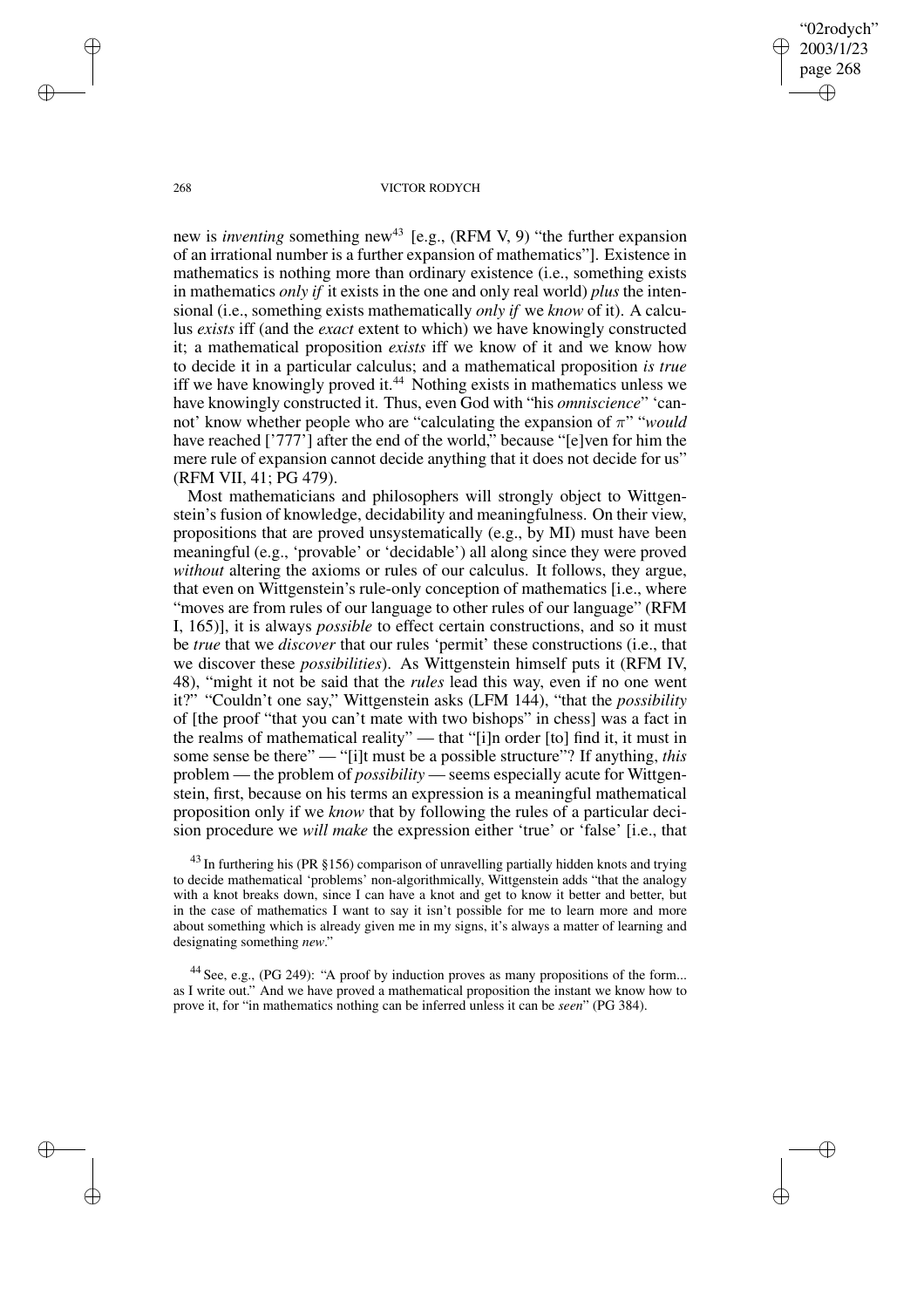"02rodych" 2003/1/23 page 268 ✐ ✐

✐

✐

#### 268 VICTOR RODYCH

new is *inventing* something new <sup>43</sup> [e.g., (RFM V, 9) "the further expansion of an irrational number is a further expansion of mathematics"]. Existence in mathematics is nothing more than ordinary existence (i.e., something exists in mathematics *only if* it exists in the one and only real world) *plus* the intensional (i.e., something exists mathematically *only if* we *know* of it). A calculus *exists* iff (and the *exact* extent to which) we have knowingly constructed it; a mathematical proposition *exists* iff we know of it and we know how to decide it in a particular calculus; and a mathematical proposition *is true* iff we have knowingly proved it.<sup>44</sup> Nothing exists in mathematics unless we have knowingly constructed it. Thus, even God with "his *omniscience*" 'cannot' know whether people who are "calculating the expansion of  $\pi$ " "*would*" have reached ['777'] after the end of the world," because "[e]ven for him the mere rule of expansion cannot decide anything that it does not decide for us" (RFM VII, 41; PG 479).

Most mathematicians and philosophers will strongly object to Wittgenstein's fusion of knowledge, decidability and meaningfulness. On their view, propositions that are proved unsystematically (e.g., by MI) must have been meaningful (e.g., 'provable' or 'decidable') all along since they were proved *without* altering the axioms or rules of our calculus. It follows, they argue, that even on Wittgenstein's rule-only conception of mathematics [i.e., where "moves are from rules of our language to other rules of our language" (RFM I, 165)], it is always *possible* to effect certain constructions, and so it must be *true* that we *discover* that our rules 'permit' these constructions (i.e., that we discover these *possibilities*). As Wittgenstein himself puts it (RFM IV, 48), "might it not be said that the *rules* lead this way, even if no one went it?" "Couldn't one say," Wittgenstein asks (LFM 144), "that the *possibility* of [the proof "that you can't mate with two bishops" in chess] was a fact in the realms of mathematical reality" — that "[i]n order [to] find it, it must in some sense be there" — "[i]t must be a possible structure"? If anything, *this* problem — the problem of *possibility* — seems especially acute for Wittgenstein, first, because on his terms an expression is a meaningful mathematical proposition only if we *know* that by following the rules of a particular decision procedure we *will make* the expression either 'true' or 'false' [i.e., that

 $^{43}$  In furthering his (PR §156) comparison of unravelling partially hidden knots and trying to decide mathematical 'problems' non-algorithmically, Wittgenstein adds "that the analogy with a knot breaks down, since I can have a knot and get to know it better and better, but in the case of mathematics I want to say it isn't possible for me to learn more and more about something which is already given me in my signs, it's always a matter of learning and designating something *new*."

<sup>44</sup> See, e.g., (PG 249): "A proof by induction proves as many propositions of the form... as I write out." And we have proved a mathematical proposition the instant we know how to prove it, for "in mathematics nothing can be inferred unless it can be *seen*" (PG 384).

✐

✐

✐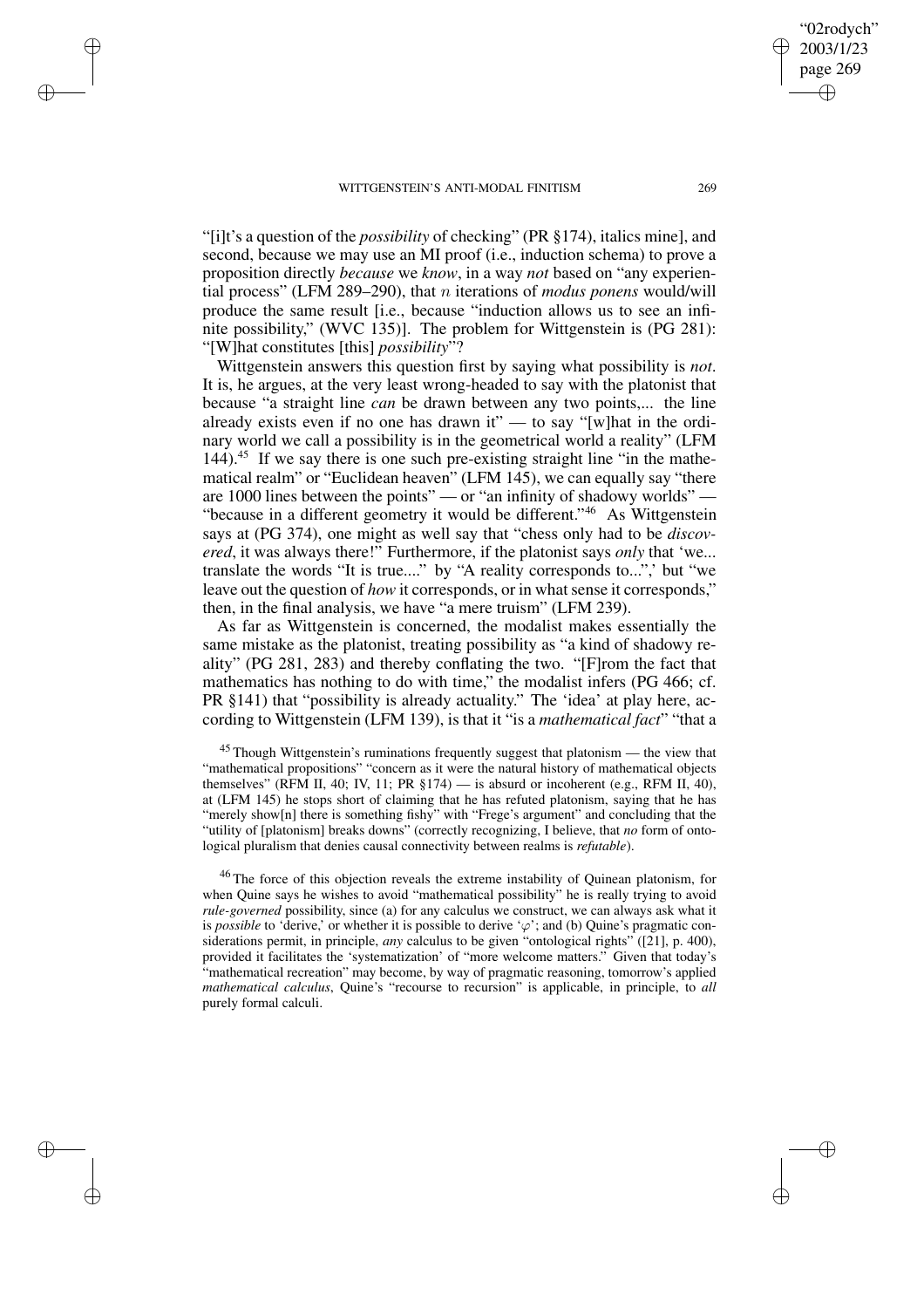✐

✐

✐

✐

"[i]t's a question of the *possibility* of checking" (PR §174), italics mine], and second, because we may use an MI proof (i.e., induction schema) to prove a proposition directly *because* we *know*, in a way *not* based on "any experiential process" (LFM 289–290), that n iterations of *modus ponens* would/will produce the same result [i.e., because "induction allows us to see an infinite possibility," (WVC 135)]. The problem for Wittgenstein is (PG 281): "[W]hat constitutes [this] *possibility*"?

Wittgenstein answers this question first by saying what possibility is *not*. It is, he argues, at the very least wrong-headed to say with the platonist that because "a straight line *can* be drawn between any two points,... the line already exists even if no one has drawn it" — to say "[w]hat in the ordinary world we call a possibility is in the geometrical world a reality" (LFM 144).<sup>45</sup> If we say there is one such pre-existing straight line "in the mathematical realm" or "Euclidean heaven" (LFM 145), we can equally say "there are 1000 lines between the points" — or "an infinity of shadowy worlds" — "because in a different geometry it would be different."<sup>46</sup> As Wittgenstein says at (PG 374), one might as well say that "chess only had to be *discovered*, it was always there!" Furthermore, if the platonist says *only* that 'we... translate the words "It is true...." by "A reality corresponds to...",' but "we leave out the question of *how* it corresponds, or in what sense it corresponds," then, in the final analysis, we have "a mere truism" (LFM 239).

As far as Wittgenstein is concerned, the modalist makes essentially the same mistake as the platonist, treating possibility as "a kind of shadowy reality" (PG 281, 283) and thereby conflating the two. "[F]rom the fact that mathematics has nothing to do with time," the modalist infers (PG 466; cf. PR §141) that "possibility is already actuality." The 'idea' at play here, according to Wittgenstein (LFM 139), is that it "is a *mathematical fact*" "that a

<sup>45</sup> Though Wittgenstein's ruminations frequently suggest that platonism — the view that "mathematical propositions" "concern as it were the natural history of mathematical objects themselves" (RFM II, 40; IV, 11; PR  $\S174$ ) — is absurd or incoherent (e.g., RFM II, 40), at (LFM 145) he stops short of claiming that he has refuted platonism, saying that he has "merely show[n] there is something fishy" with "Frege's argument" and concluding that the "utility of [platonism] breaks downs" (correctly recognizing, I believe, that *no* form of ontological pluralism that denies causal connectivity between realms is *refutable*).

<sup>46</sup> The force of this objection reveals the extreme instability of Quinean platonism, for when Quine says he wishes to avoid "mathematical possibility" he is really trying to avoid *rule-governed* possibility, since (a) for any calculus we construct, we can always ask what it is *possible* to 'derive,' or whether it is possible to derive ' $\varphi$ '; and (b) Quine's pragmatic considerations permit, in principle, *any* calculus to be given "ontological rights" ([21], p. 400), provided it facilitates the 'systematization' of "more welcome matters." Given that today's "mathematical recreation" may become, by way of pragmatic reasoning, tomorrow's applied *mathematical calculus*, Quine's "recourse to recursion" is applicable, in principle, to *all* purely formal calculi.

"02rodych" 2003/1/23 page 269

✐

✐

✐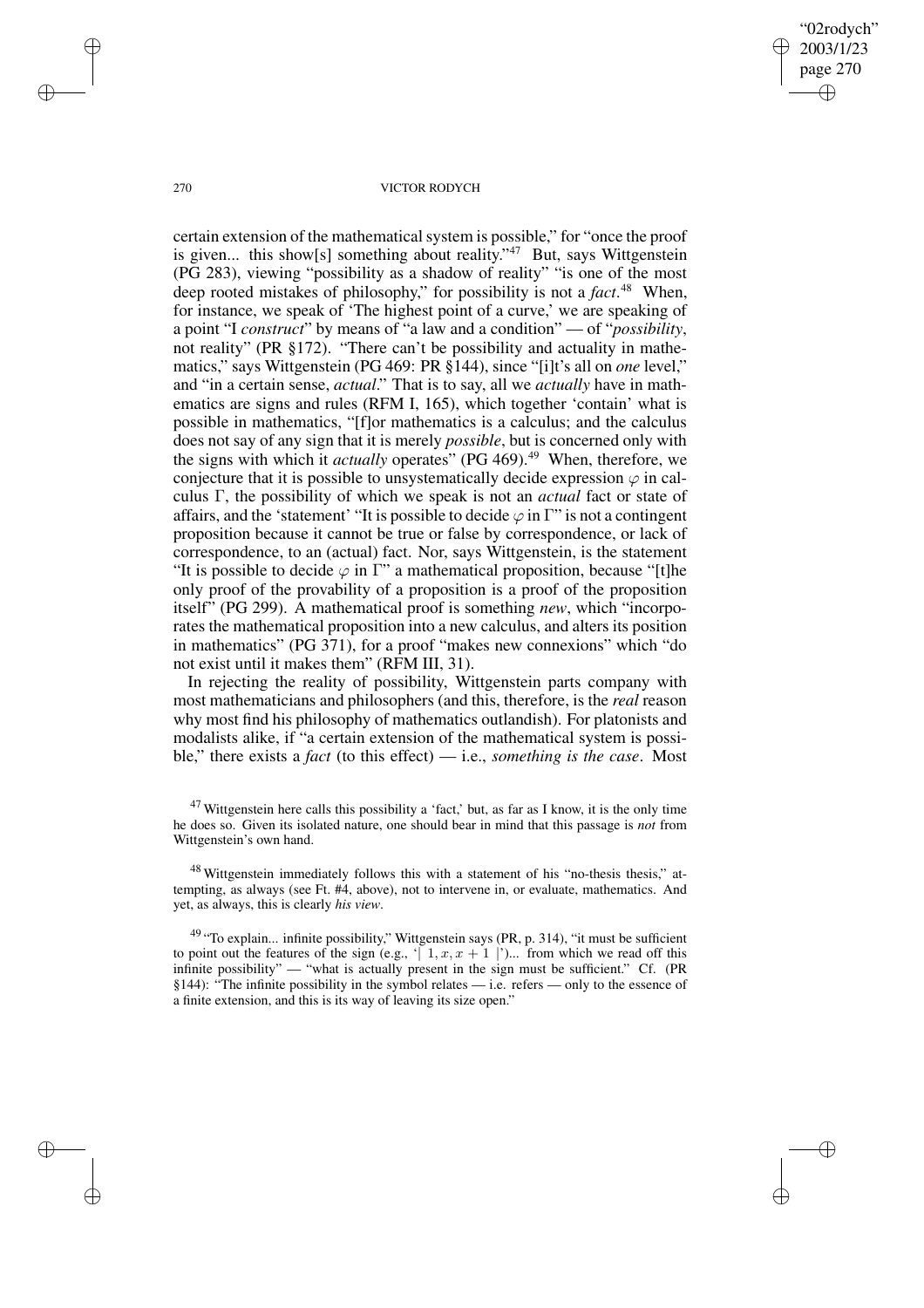"02rodych" 2003/1/23 page 270 ✐ ✐

✐

✐

#### 270 VICTOR RODYCH

certain extension of the mathematical system is possible," for "once the proof is given... this show[s] something about reality."<sup>47</sup> But, says Wittgenstein (PG 283), viewing "possibility as a shadow of reality" "is one of the most deep rooted mistakes of philosophy," for possibility is not a *fact*. <sup>48</sup> When, for instance, we speak of 'The highest point of a curve,' we are speaking of a point "I *construct*" by means of "a law and a condition" — of "*possibility*, not reality" (PR §172). "There can't be possibility and actuality in mathematics," says Wittgenstein (PG 469: PR §144), since "[i]t's all on *one* level," and "in a certain sense, *actual*." That is to say, all we *actually* have in mathematics are signs and rules (RFM I, 165), which together 'contain' what is possible in mathematics, "[f]or mathematics is a calculus; and the calculus does not say of any sign that it is merely *possible*, but is concerned only with the signs with which it *actually* operates" (PG 469).<sup>49</sup> When, therefore, we conjecture that it is possible to unsystematically decide expression  $\varphi$  in calculus Γ, the possibility of which we speak is not an *actual* fact or state of affairs, and the 'statement' "It is possible to decide  $\varphi$  in  $\Gamma$ " is not a contingent proposition because it cannot be true or false by correspondence, or lack of correspondence, to an (actual) fact. Nor, says Wittgenstein, is the statement "It is possible to decide  $\varphi$  in  $\Gamma$ " a mathematical proposition, because "[t]he only proof of the provability of a proposition is a proof of the proposition itself" (PG 299). A mathematical proof is something *new*, which "incorporates the mathematical proposition into a new calculus, and alters its position in mathematics" (PG 371), for a proof "makes new connexions" which "do not exist until it makes them" (RFM III, 31).

In rejecting the reality of possibility, Wittgenstein parts company with most mathematicians and philosophers (and this, therefore, is the *real* reason why most find his philosophy of mathematics outlandish). For platonists and modalists alike, if "a certain extension of the mathematical system is possible," there exists a *fact* (to this effect) — i.e., *something is the case*. Most

✐

✐

✐

 $47$  Wittgenstein here calls this possibility a 'fact,' but, as far as I know, it is the only time he does so. Given its isolated nature, one should bear in mind that this passage is *not* from Wittgenstein's own hand.

<sup>&</sup>lt;sup>48</sup> Wittgenstein immediately follows this with a statement of his "no-thesis thesis," attempting, as always (see Ft. #4, above), not to intervene in, or evaluate, mathematics. And yet, as always, this is clearly *his view*.

 $49$  "To explain... infinite possibility," Wittgenstein says (PR, p. 314), "it must be sufficient to point out the features of the sign (e.g., ' $| 1, x, x + 1 |$ ')... from which we read off this infinite possibility" — "what is actually present in the sign must be sufficient." Cf. (PR §144): "The infinite possibility in the symbol relates — i.e. refers — only to the essence of a finite extension, and this is its way of leaving its size open."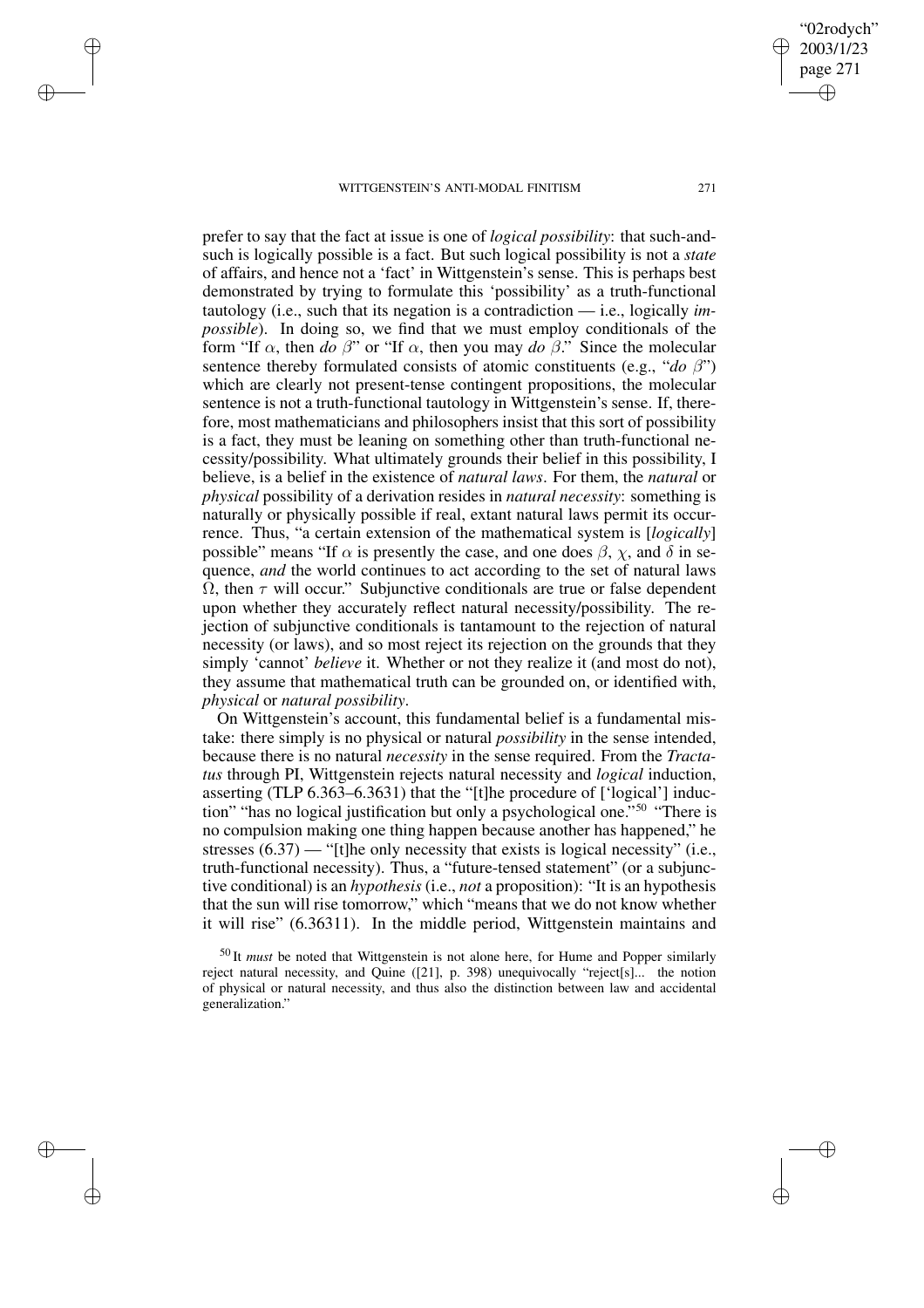✐

✐

✐

✐

prefer to say that the fact at issue is one of *logical possibility*: that such-andsuch is logically possible is a fact. But such logical possibility is not a *state* of affairs, and hence not a 'fact' in Wittgenstein's sense. This is perhaps best demonstrated by trying to formulate this 'possibility' as a truth-functional tautology (i.e., such that its negation is a contradiction — i.e., logically *impossible*). In doing so, we find that we must employ conditionals of the form "If  $\alpha$ , then *do*  $\beta$ " or "If  $\alpha$ , then you may *do*  $\beta$ ." Since the molecular sentence thereby formulated consists of atomic constituents (e.g., "*do* β") which are clearly not present-tense contingent propositions, the molecular sentence is not a truth-functional tautology in Wittgenstein's sense. If, therefore, most mathematicians and philosophers insist that this sort of possibility is a fact, they must be leaning on something other than truth-functional necessity/possibility. What ultimately grounds their belief in this possibility, I believe, is a belief in the existence of *natural laws*. For them, the *natural* or *physical* possibility of a derivation resides in *natural necessity*: something is naturally or physically possible if real, extant natural laws permit its occurrence. Thus, "a certain extension of the mathematical system is [*logically*] possible" means "If  $\alpha$  is presently the case, and one does  $\beta$ ,  $\chi$ , and  $\delta$  in sequence, *and* the world continues to act according to the set of natural laws  $\overline{\Omega}$ , then  $\tau$  will occur." Subjunctive conditionals are true or false dependent upon whether they accurately reflect natural necessity/possibility. The rejection of subjunctive conditionals is tantamount to the rejection of natural necessity (or laws), and so most reject its rejection on the grounds that they simply 'cannot' *believe* it. Whether or not they realize it (and most do not), they assume that mathematical truth can be grounded on, or identified with, *physical* or *natural possibility*.

On Wittgenstein's account, this fundamental belief is a fundamental mistake: there simply is no physical or natural *possibility* in the sense intended, because there is no natural *necessity* in the sense required. From the *Tractatus* through PI, Wittgenstein rejects natural necessity and *logical* induction, asserting (TLP 6.363–6.3631) that the "[t]he procedure of ['logical'] induction" "has no logical justification but only a psychological one." <sup>50</sup> "There is no compulsion making one thing happen because another has happened," he stresses  $(6.37)$  — "[t]he only necessity that exists is logical necessity" (i.e., truth-functional necessity). Thus, a "future-tensed statement" (or a subjunctive conditional) is an *hypothesis* (i.e., *not* a proposition): "It is an hypothesis that the sun will rise tomorrow," which "means that we do not know whether it will rise" (6.36311). In the middle period, Wittgenstein maintains and

<sup>50</sup> It *must* be noted that Wittgenstein is not alone here, for Hume and Popper similarly reject natural necessity, and Quine ([21], p. 398) unequivocally "reject[s]... the notion of physical or natural necessity, and thus also the distinction between law and accidental generalization."

"02rodych" 2003/1/23 page 271

✐

✐

✐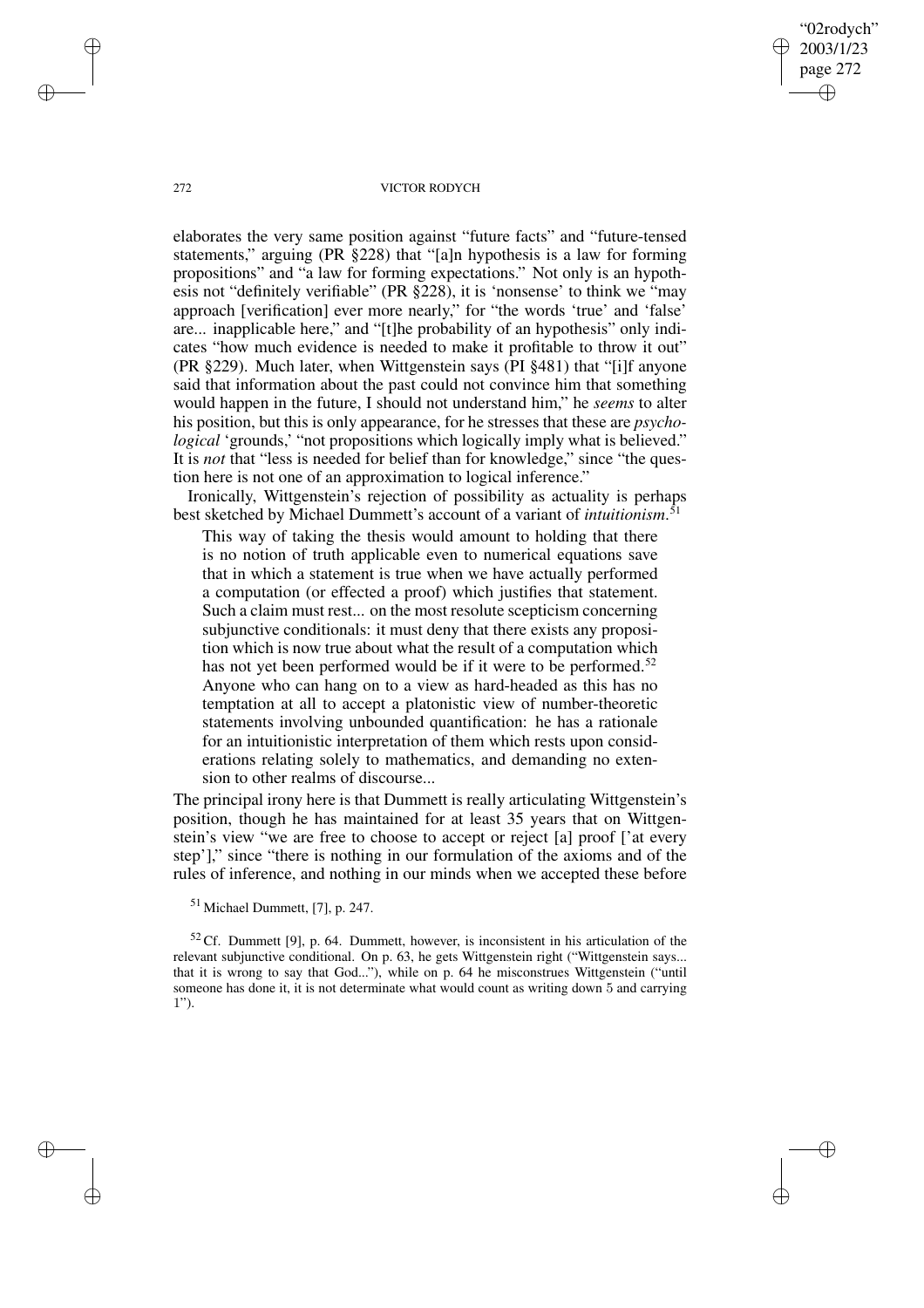"02rodych" 2003/1/23 page 272 ✐ ✐

✐

✐

#### 272 VICTOR RODYCH

elaborates the very same position against "future facts" and "future-tensed statements," arguing (PR §228) that "[a]n hypothesis is a law for forming propositions" and "a law for forming expectations." Not only is an hypothesis not "definitely verifiable" (PR §228), it is 'nonsense' to think we "may approach [verification] ever more nearly," for "the words 'true' and 'false' are... inapplicable here," and "[t]he probability of an hypothesis" only indicates "how much evidence is needed to make it profitable to throw it out" (PR §229). Much later, when Wittgenstein says (PI §481) that "[i]f anyone said that information about the past could not convince him that something would happen in the future, I should not understand him," he *seems* to alter his position, but this is only appearance, for he stresses that these are *psychological* 'grounds,' "not propositions which logically imply what is believed." It is *not* that "less is needed for belief than for knowledge," since "the question here is not one of an approximation to logical inference."

Ironically, Wittgenstein's rejection of possibility as actuality is perhaps best sketched by Michael Dummett's account of a variant of *intuitionism*. 51

This way of taking the thesis would amount to holding that there is no notion of truth applicable even to numerical equations save that in which a statement is true when we have actually performed a computation (or effected a proof) which justifies that statement. Such a claim must rest... on the most resolute scepticism concerning subjunctive conditionals: it must deny that there exists any proposition which is now true about what the result of a computation which has not yet been performed would be if it were to be performed.<sup>52</sup> Anyone who can hang on to a view as hard-headed as this has no temptation at all to accept a platonistic view of number-theoretic statements involving unbounded quantification: he has a rationale for an intuitionistic interpretation of them which rests upon considerations relating solely to mathematics, and demanding no extension to other realms of discourse...

The principal irony here is that Dummett is really articulating Wittgenstein's position, though he has maintained for at least 35 years that on Wittgenstein's view "we are free to choose to accept or reject [a] proof ['at every step']," since "there is nothing in our formulation of the axioms and of the rules of inference, and nothing in our minds when we accepted these before

 $52$  Cf. Dummett [9], p. 64. Dummett, however, is inconsistent in his articulation of the relevant subjunctive conditional. On p. 63, he gets Wittgenstein right ("Wittgenstein says... that it is wrong to say that God..."), while on p. 64 he misconstrues Wittgenstein ("until someone has done it, it is not determinate what would count as writing down 5 and carrying 1").

✐

✐

✐

 $51$  Michael Dummett, [7], p. 247.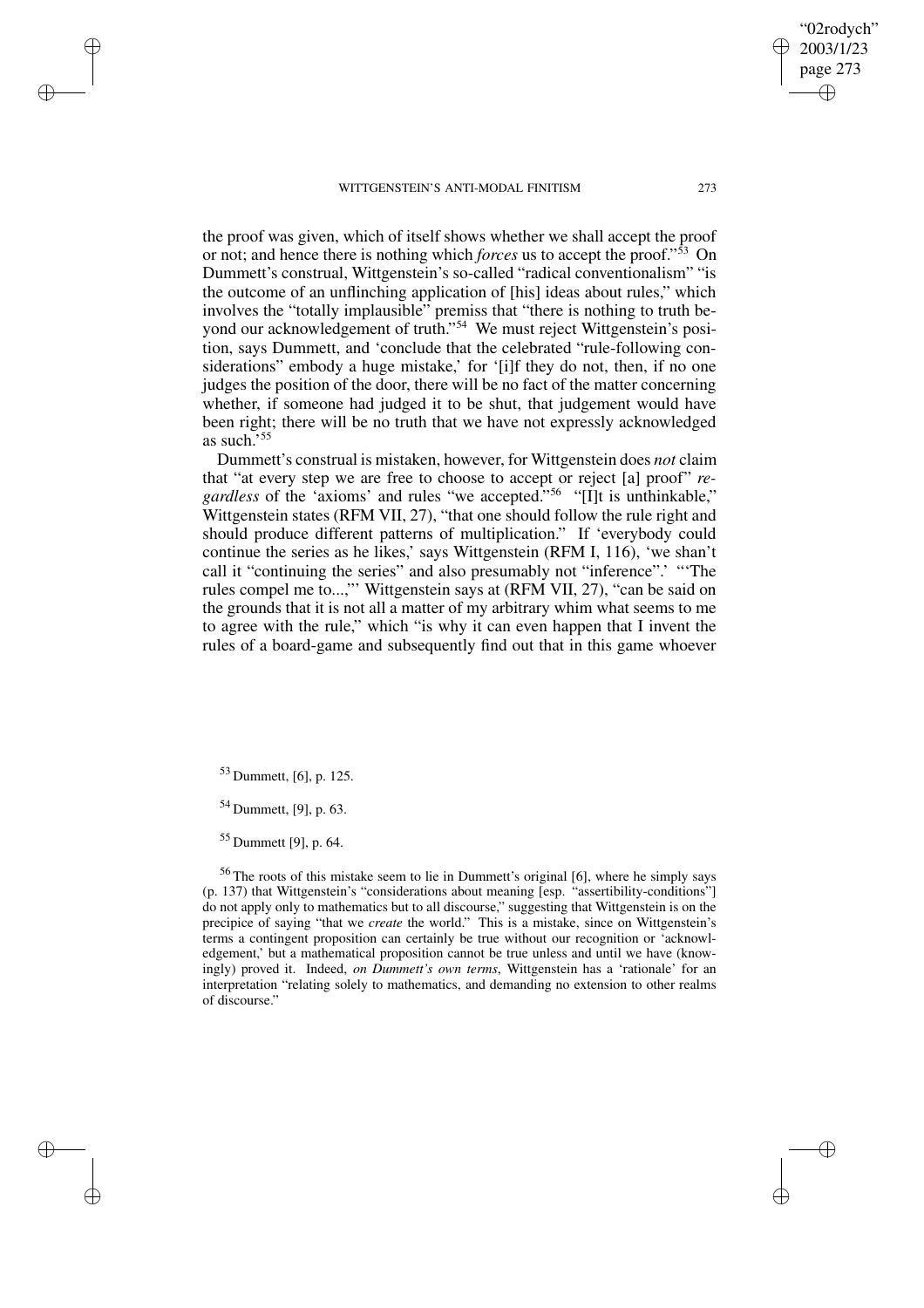the proof was given, which of itself shows whether we shall accept the proof or not; and hence there is nothing which *forces* us to accept the proof." <sup>53</sup> On Dummett's construal, Wittgenstein's so-called "radical conventionalism" "is the outcome of an unflinching application of [his] ideas about rules," which involves the "totally implausible" premiss that "there is nothing to truth beyond our acknowledgement of truth." <sup>54</sup> We must reject Wittgenstein's position, says Dummett, and 'conclude that the celebrated "rule-following considerations" embody a huge mistake,' for '[i]f they do not, then, if no one judges the position of the door, there will be no fact of the matter concerning

as such.' 55 Dummett's construal is mistaken, however, for Wittgenstein does *not* claim that "at every step we are free to choose to accept or reject [a] proof" *regardless* of the 'axioms' and rules "we accepted." <sup>56</sup> "[I]t is unthinkable," Wittgenstein states (RFM VII, 27), "that one should follow the rule right and should produce different patterns of multiplication." If 'everybody could continue the series as he likes,' says Wittgenstein (RFM I, 116), 'we shan't call it "continuing the series" and also presumably not "inference".' "'The rules compel me to...,"' Wittgenstein says at (RFM VII, 27), "can be said on the grounds that it is not all a matter of my arbitrary whim what seems to me to agree with the rule," which "is why it can even happen that I invent the rules of a board-game and subsequently find out that in this game whoever

whether, if someone had judged it to be shut, that judgement would have been right; there will be no truth that we have not expressly acknowledged

<sup>53</sup> Dummett, [6], p. 125.

✐

✐

✐

✐

<sup>54</sup> Dummett, [9], p. 63.

<sup>55</sup> Dummett [9], p. 64.

<sup>56</sup> The roots of this mistake seem to lie in Dummett's original [6], where he simply says (p. 137) that Wittgenstein's "considerations about meaning [esp. "assertibility-conditions"] do not apply only to mathematics but to all discourse," suggesting that Wittgenstein is on the precipice of saying "that we *create* the world." This is a mistake, since on Wittgenstein's terms a contingent proposition can certainly be true without our recognition or 'acknowledgement,' but a mathematical proposition cannot be true unless and until we have (knowingly) proved it. Indeed, *on Dummett's own terms*, Wittgenstein has a 'rationale' for an interpretation "relating solely to mathematics, and demanding no extension to other realms of discourse."

2003/1/23 page 273 ✐ ✐

"02rodych"

✐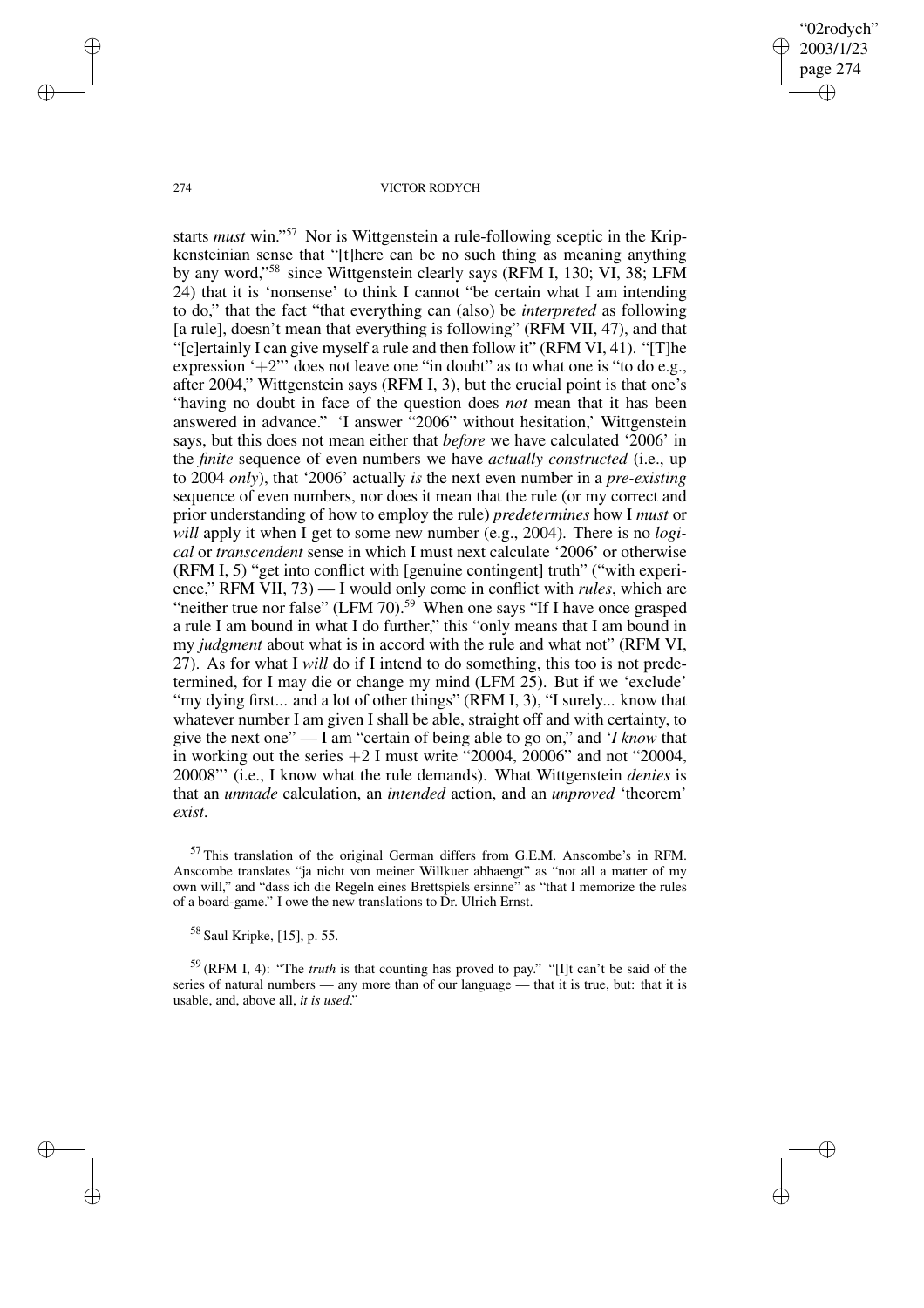"02rodych" 2003/1/23 page 274 ✐ ✐

✐

✐

#### 274 VICTOR RODYCH

starts *must* win." <sup>57</sup> Nor is Wittgenstein a rule-following sceptic in the Kripkensteinian sense that "[t]here can be no such thing as meaning anything by any word," <sup>58</sup> since Wittgenstein clearly says (RFM I, 130; VI, 38; LFM 24) that it is 'nonsense' to think I cannot "be certain what I am intending to do," that the fact "that everything can (also) be *interpreted* as following [a rule], doesn't mean that everything is following" (RFM VII, 47), and that "[c]ertainly I can give myself a rule and then follow it" (RFM VI, 41). "[T]he expression  $+2$ "' does not leave one "in doubt" as to what one is "to do e.g., after 2004," Wittgenstein says (RFM I, 3), but the crucial point is that one's "having no doubt in face of the question does *not* mean that it has been answered in advance." 'I answer "2006" without hesitation,' Wittgenstein says, but this does not mean either that *before* we have calculated '2006' in the *finite* sequence of even numbers we have *actually constructed* (i.e., up to 2004 *only*), that '2006' actually *is* the next even number in a *pre-existing* sequence of even numbers, nor does it mean that the rule (or my correct and prior understanding of how to employ the rule) *predetermines* how I *must* or *will* apply it when I get to some new number (e.g., 2004). There is no *logical* or *transcendent* sense in which I must next calculate '2006' or otherwise (RFM I, 5) "get into conflict with [genuine contingent] truth" ("with experience," RFM VII, 73) — I would only come in conflict with *rules*, which are "neither true nor false" (LFM 70). $59$  When one says "If I have once grasped a rule I am bound in what I do further," this "only means that I am bound in my *judgment* about what is in accord with the rule and what not" (RFM VI, 27). As for what I *will* do if I intend to do something, this too is not predetermined, for I may die or change my mind (LFM 25). But if we 'exclude' "my dying first... and a lot of other things" (RFM I, 3), "I surely... know that whatever number I am given I shall be able, straight off and with certainty, to give the next one" — I am "certain of being able to go on," and '*I know* that in working out the series  $+2$  I must write "20004, 20006" and not "20004, 20008"' (i.e., I know what the rule demands). What Wittgenstein *denies* is that an *unmade* calculation, an *intended* action, and an *unproved* 'theorem' *exist*.

✐

✐

✐

<sup>57</sup> This translation of the original German differs from G.E.M. Anscombe's in RFM. Anscombe translates "ja nicht von meiner Willkuer abhaengt" as "not all a matter of my own will," and "dass ich die Regeln eines Brettspiels ersinne" as "that I memorize the rules of a board-game." I owe the new translations to Dr. Ulrich Ernst.

<sup>58</sup> Saul Kripke, [15], p. 55.

<sup>59</sup> (RFM I, 4): "The *truth* is that counting has proved to pay." "[I]t can't be said of the series of natural numbers — any more than of our language — that it is true, but: that it is usable, and, above all, *it is used*."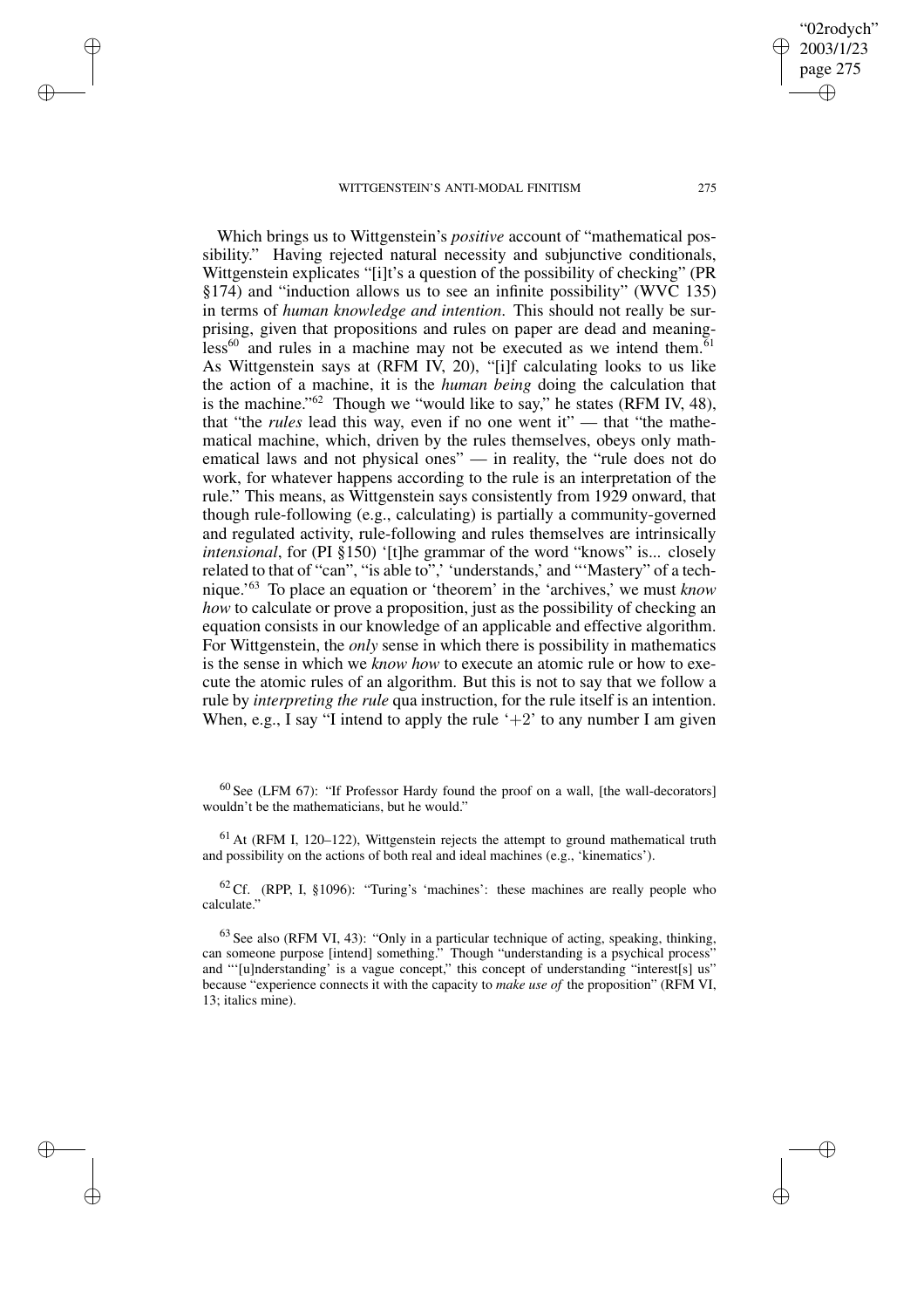✐

✐

✐

✐

Which brings us to Wittgenstein's *positive* account of "mathematical possibility." Having rejected natural necessity and subjunctive conditionals, Wittgenstein explicates "[i]t's a question of the possibility of checking" (PR §174) and "induction allows us to see an infinite possibility" (WVC 135) in terms of *human knowledge and intention*. This should not really be surprising, given that propositions and rules on paper are dead and meaning $less<sup>60</sup>$  and rules in a machine may not be executed as we intend them.<sup>61</sup> As Wittgenstein says at (RFM IV, 20), "[i]f calculating looks to us like the action of a machine, it is the *human being* doing the calculation that is the machine."<sup>62</sup> Though we "would like to say," he states (RFM IV, 48), that "the *rules* lead this way, even if no one went it" — that "the mathematical machine, which, driven by the rules themselves, obeys only mathematical laws and not physical ones" — in reality, the "rule does not do work, for whatever happens according to the rule is an interpretation of the rule." This means, as Wittgenstein says consistently from 1929 onward, that though rule-following (e.g., calculating) is partially a community-governed and regulated activity, rule-following and rules themselves are intrinsically *intensional*, for (PI §150) '[t]he grammar of the word "knows" is... closely related to that of "can", "is able to",' understands,' and "'Mastery" of a technique.' <sup>63</sup> To place an equation or 'theorem' in the 'archives,' we must *know how* to calculate or prove a proposition, just as the possibility of checking an equation consists in our knowledge of an applicable and effective algorithm. For Wittgenstein, the *only* sense in which there is possibility in mathematics is the sense in which we *know how* to execute an atomic rule or how to execute the atomic rules of an algorithm. But this is not to say that we follow a rule by *interpreting the rule* qua instruction, for the rule itself is an intention. When, e.g., I say "I intend to apply the rule  $+2$ " to any number I am given

 $60$  See (LFM 67): "If Professor Hardy found the proof on a wall, [the wall-decorators] wouldn't be the mathematicians, but he would."

 $<sup>61</sup>$  At (RFM I, 120–122), Wittgenstein rejects the attempt to ground mathematical truth</sup> and possibility on the actions of both real and ideal machines (e.g., 'kinematics').

 $62$  Cf. (RPP, I, §1096): "Turing's 'machines': these machines are really people who calculate."

 $63$  See also (RFM VI, 43): "Only in a particular technique of acting, speaking, thinking, can someone purpose [intend] something." Though "understanding is a psychical process" and "'[u]nderstanding' is a vague concept," this concept of understanding "interest[s] us" because "experience connects it with the capacity to *make use of* the proposition" (RFM VI, 13; italics mine).

"02rodych" 2003/1/23 page 275

✐

✐

✐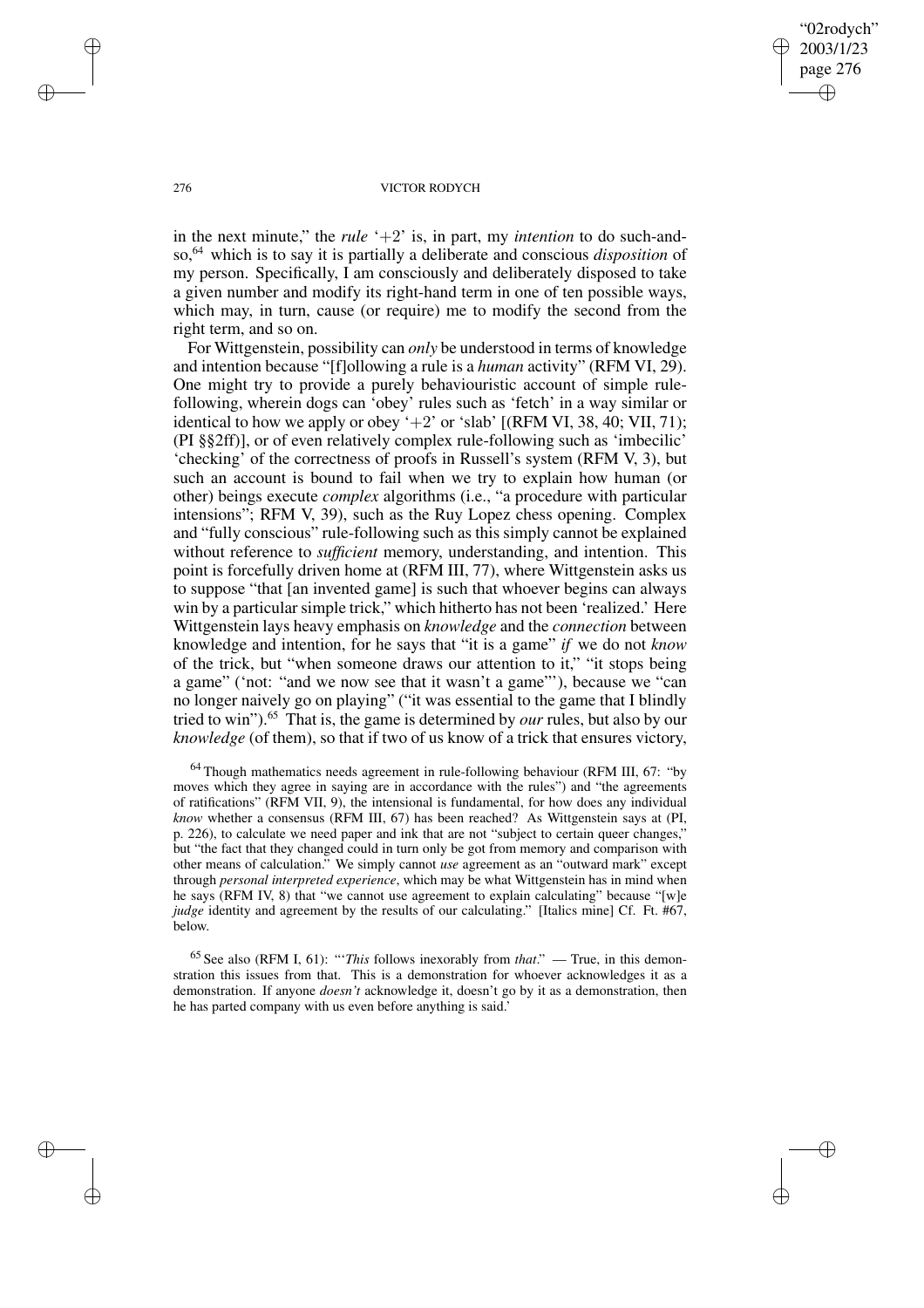"02rodych" 2003/1/23 page 276 ✐ ✐

✐

✐

#### 276 VICTOR RODYCH

in the next minute," the *rule*  $+2$ ' is, in part, my *intention* to do such-andso,<sup>64</sup> which is to say it is partially a deliberate and conscious *disposition* of my person. Specifically, I am consciously and deliberately disposed to take a given number and modify its right-hand term in one of ten possible ways, which may, in turn, cause (or require) me to modify the second from the right term, and so on.

For Wittgenstein, possibility can *only* be understood in terms of knowledge and intention because "[f]ollowing a rule is a *human* activity" (RFM VI, 29). One might try to provide a purely behaviouristic account of simple rulefollowing, wherein dogs can 'obey' rules such as 'fetch' in a way similar or identical to how we apply or obey  $+2$ ' or 'slab' [(RFM VI, 38, 40; VII, 71); (PI §§2ff)], or of even relatively complex rule-following such as 'imbecilic' 'checking' of the correctness of proofs in Russell's system (RFM V, 3), but such an account is bound to fail when we try to explain how human (or other) beings execute *complex* algorithms (i.e., "a procedure with particular intensions"; RFM V, 39), such as the Ruy Lopez chess opening. Complex and "fully conscious" rule-following such as this simply cannot be explained without reference to *sufficient* memory, understanding, and intention. This point is forcefully driven home at (RFM III, 77), where Wittgenstein asks us to suppose "that [an invented game] is such that whoever begins can always win by a particular simple trick," which hitherto has not been 'realized.' Here Wittgenstein lays heavy emphasis on *knowledge* and the *connection* between knowledge and intention, for he says that "it is a game" *if* we do not *know* of the trick, but "when someone draws our attention to it," "it stops being a game" ('not: "and we now see that it wasn't a game"'), because we "can no longer naively go on playing" ("it was essential to the game that I blindly tried to win").<sup>65</sup> That is, the game is determined by *our* rules, but also by our *knowledge* (of them), so that if two of us know of a trick that ensures victory,

<sup>64</sup> Though mathematics needs agreement in rule-following behaviour (RFM III, 67: "by moves which they agree in saying are in accordance with the rules") and "the agreements of ratifications" (RFM VII, 9), the intensional is fundamental, for how does any individual *know* whether a consensus (RFM III, 67) has been reached? As Wittgenstein says at (PI, p. 226), to calculate we need paper and ink that are not "subject to certain queer changes," but "the fact that they changed could in turn only be got from memory and comparison with other means of calculation." We simply cannot *use* agreement as an "outward mark" except through *personal interpreted experience*, which may be what Wittgenstein has in mind when he says (RFM IV, 8) that "we cannot use agreement to explain calculating" because "[w]e *judge* identity and agreement by the results of our calculating." [Italics mine] Cf. Ft. #67, below.

<sup>65</sup> See also (RFM I, 61): "'*This* follows inexorably from *that*." — True, in this demonstration this issues from that. This is a demonstration for whoever acknowledges it as a demonstration. If anyone *doesn't* acknowledge it, doesn't go by it as a demonstration, then he has parted company with us even before anything is said.'

✐

✐

✐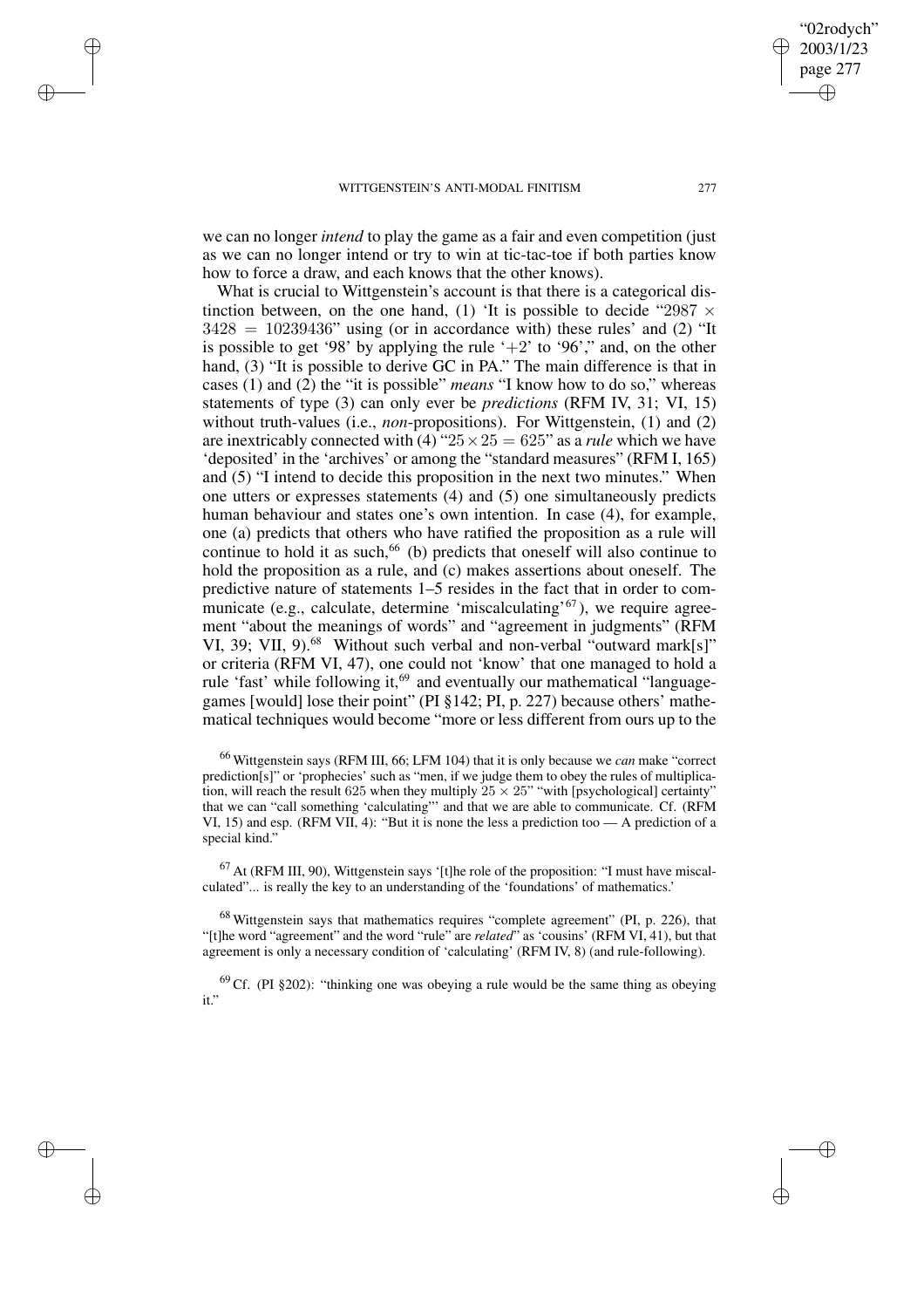✐

✐

✐

✐

we can no longer *intend* to play the game as a fair and even competition (just as we can no longer intend or try to win at tic-tac-toe if both parties know how to force a draw, and each knows that the other knows).

What is crucial to Wittgenstein's account is that there is a categorical distinction between, on the one hand, (1) 'It is possible to decide "2987  $\times$  $3428 = 10239436$ " using (or in accordance with) these rules' and (2) "It is possible to get '98' by applying the rule ' $+2$ ' to '96'," and, on the other hand, (3) "It is possible to derive GC in PA." The main difference is that in cases (1) and (2) the "it is possible" *means* "I know how to do so," whereas statements of type (3) can only ever be *predictions* (RFM IV, 31; VI, 15) without truth-values (i.e., *non*-propositions). For Wittgenstein, (1) and (2) are inextricably connected with (4) " $25 \times 25 = 625$ " as a *rule* which we have 'deposited' in the 'archives' or among the "standard measures" (RFM I, 165) and (5) "I intend to decide this proposition in the next two minutes." When one utters or expresses statements (4) and (5) one simultaneously predicts human behaviour and states one's own intention. In case (4), for example, one (a) predicts that others who have ratified the proposition as a rule will continue to hold it as such,<sup>66</sup> (b) predicts that oneself will also continue to hold the proposition as a rule, and (c) makes assertions about oneself. The predictive nature of statements 1–5 resides in the fact that in order to communicate (e.g., calculate, determine 'miscalculating'<sup>67</sup>), we require agreement "about the meanings of words" and "agreement in judgments" (RFM VI, 39; VII, 9).<sup>68</sup> Without such verbal and non-verbal "outward mark[s]" or criteria (RFM VI, 47), one could not 'know' that one managed to hold a rule 'fast' while following it,<sup>69</sup> and eventually our mathematical "languagegames [would] lose their point" (PI §142; PI, p. 227) because others' mathematical techniques would become "more or less different from ours up to the

<sup>66</sup> Wittgenstein says (RFM III, 66; LFM 104) that it is only because we *can* make "correct prediction[s]" or 'prophecies' such as "men, if we judge them to obey the rules of multiplication, will reach the result 625 when they multiply  $25 \times 25$ " "with [psychological] certainty" that we can "call something 'calculating"' and that we are able to communicate. Cf. (RFM VI, 15) and esp. (RFM VII, 4): "But it is none the less a prediction too — A prediction of a special kind."

<sup>67</sup> At (RFM III, 90), Wittgenstein says '[t]he role of the proposition: "I must have miscalculated"... is really the key to an understanding of the 'foundations' of mathematics.'

<sup>68</sup> Wittgenstein says that mathematics requires "complete agreement" (PI, p. 226), that "[t]he word "agreement" and the word "rule" are *related*" as 'cousins' (RFM VI, 41), but that agreement is only a necessary condition of 'calculating' (RFM IV, 8) (and rule-following).

 $69$  Cf. (PI §202): "thinking one was obeying a rule would be the same thing as obeying it."

"02rodych" 2003/1/23 page 277

✐

✐

✐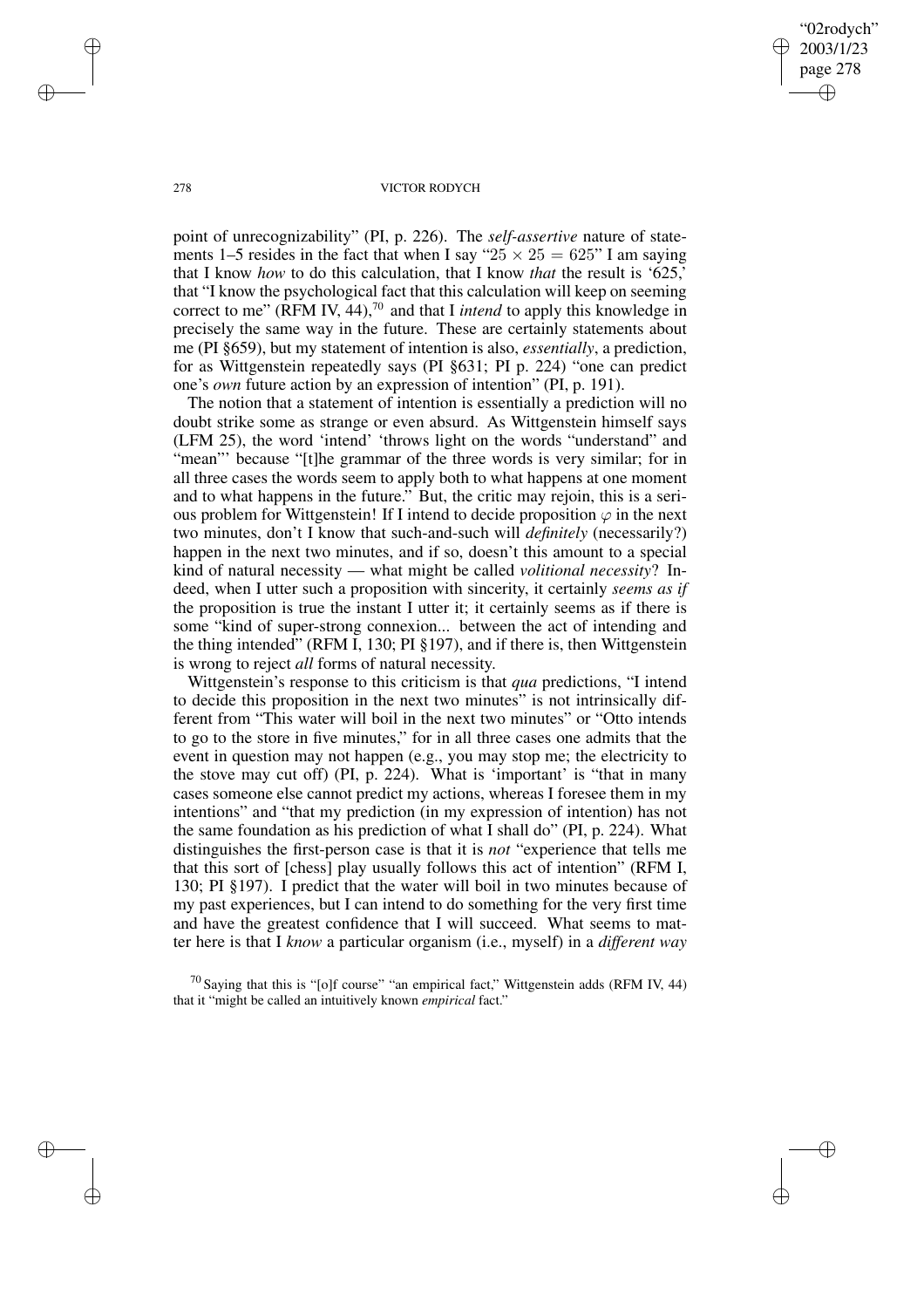"02rodych" 2003/1/23 page 278 ✐ ✐

✐

✐

#### 278 VICTOR RODYCH

point of unrecognizability" (PI, p. 226). The *self-assertive* nature of statements 1–5 resides in the fact that when I say " $25 \times 25 = 625$ " I am saying that I know *how* to do this calculation, that I know *that* the result is '625,' that "I know the psychological fact that this calculation will keep on seeming correct to me" (RFM IV, 44),<sup>70</sup> and that I *intend* to apply this knowledge in precisely the same way in the future. These are certainly statements about me (PI §659), but my statement of intention is also, *essentially*, a prediction, for as Wittgenstein repeatedly says (PI §631; PI p. 224) "one can predict one's *own* future action by an expression of intention" (PI, p. 191).

The notion that a statement of intention is essentially a prediction will no doubt strike some as strange or even absurd. As Wittgenstein himself says (LFM 25), the word 'intend' 'throws light on the words "understand" and "mean"' because "[t]he grammar of the three words is very similar; for in all three cases the words seem to apply both to what happens at one moment and to what happens in the future." But, the critic may rejoin, this is a serious problem for Wittgenstein! If I intend to decide proposition  $\varphi$  in the next two minutes, don't I know that such-and-such will *definitely* (necessarily?) happen in the next two minutes, and if so, doesn't this amount to a special kind of natural necessity — what might be called *volitional necessity*? Indeed, when I utter such a proposition with sincerity, it certainly *seems as if* the proposition is true the instant I utter it; it certainly seems as if there is some "kind of super-strong connexion... between the act of intending and the thing intended" (RFM I, 130; PI §197), and if there is, then Wittgenstein is wrong to reject *all* forms of natural necessity.

Wittgenstein's response to this criticism is that *qua* predictions, "I intend to decide this proposition in the next two minutes" is not intrinsically different from "This water will boil in the next two minutes" or "Otto intends to go to the store in five minutes," for in all three cases one admits that the event in question may not happen (e.g., you may stop me; the electricity to the stove may cut off) (PI, p. 224). What is 'important' is "that in many cases someone else cannot predict my actions, whereas I foresee them in my intentions" and "that my prediction (in my expression of intention) has not the same foundation as his prediction of what I shall do" (PI, p. 224). What distinguishes the first-person case is that it is *not* "experience that tells me that this sort of [chess] play usually follows this act of intention" (RFM I, 130; PI §197). I predict that the water will boil in two minutes because of my past experiences, but I can intend to do something for the very first time and have the greatest confidence that I will succeed. What seems to matter here is that I *know* a particular organism (i.e., myself) in a *different way*

 $70$  Saying that this is "[o]f course" "an empirical fact," Wittgenstein adds (RFM IV, 44) that it "might be called an intuitively known *empirical* fact."

✐

✐

✐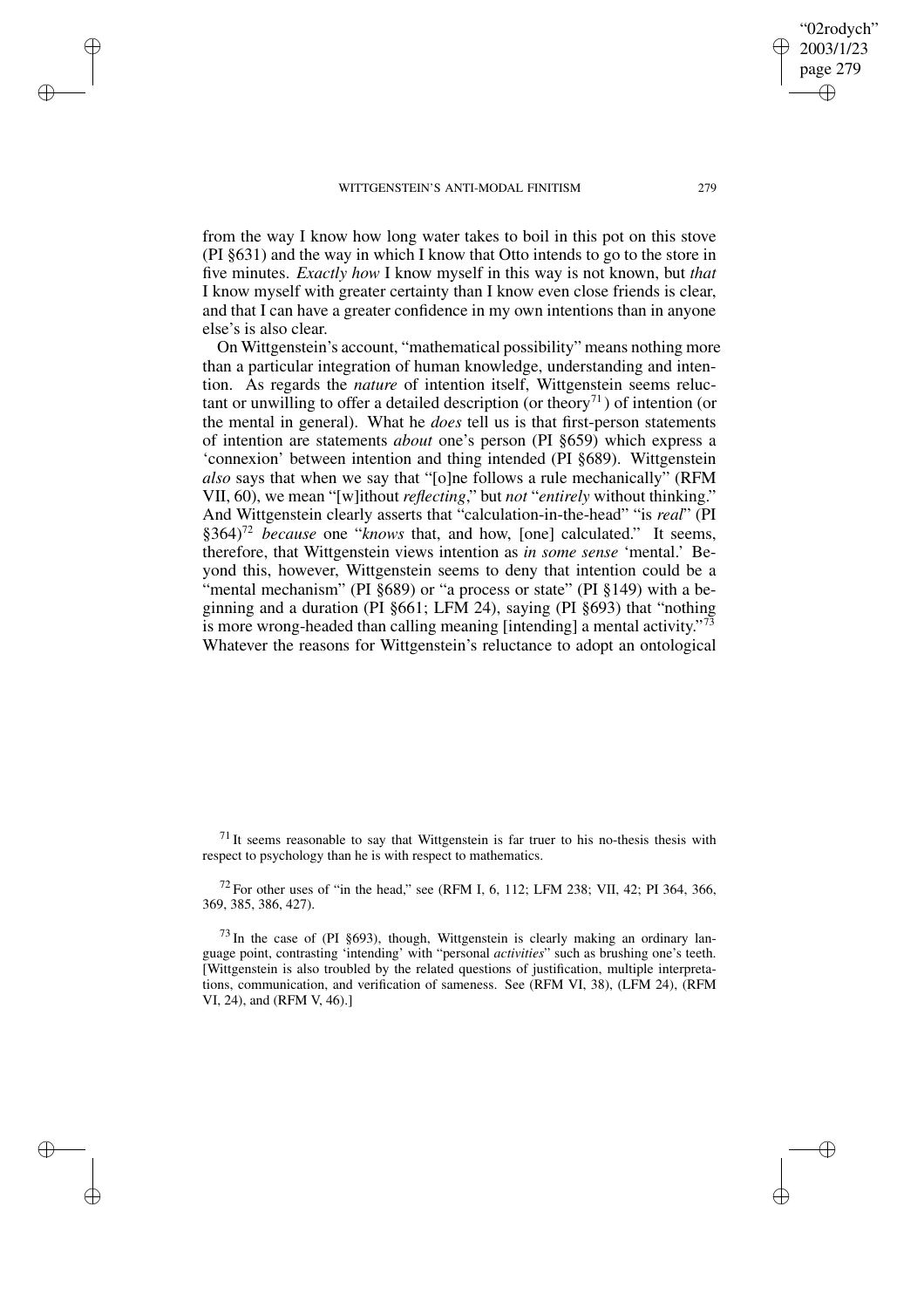✐

✐

✐

✐

from the way I know how long water takes to boil in this pot on this stove (PI §631) and the way in which I know that Otto intends to go to the store in five minutes. *Exactly how* I know myself in this way is not known, but *that* I know myself with greater certainty than I know even close friends is clear, and that I can have a greater confidence in my own intentions than in anyone else's is also clear.

On Wittgenstein's account, "mathematical possibility" means nothing more than a particular integration of human knowledge, understanding and intention. As regards the *nature* of intention itself, Wittgenstein seems reluctant or unwilling to offer a detailed description (or theory<sup>71</sup>) of intention (or the mental in general). What he *does* tell us is that first-person statements of intention are statements *about* one's person (PI §659) which express a 'connexion' between intention and thing intended (PI §689). Wittgenstein *also* says that when we say that "[o]ne follows a rule mechanically" (RFM VII, 60), we mean "[w]ithout *reflecting*," but *not* "*entirely* without thinking." And Wittgenstein clearly asserts that "calculation-in-the-head" "is *real*" (PI §364)<sup>72</sup> *because* one "*knows* that, and how, [one] calculated." It seems, therefore, that Wittgenstein views intention as *in some sense* 'mental.' Beyond this, however, Wittgenstein seems to deny that intention could be a "mental mechanism" (PI §689) or "a process or state" (PI §149) with a beginning and a duration (PI §661; LFM 24), saying (PI §693) that "nothing is more wrong-headed than calling meaning [intending] a mental activity."<sup>73</sup> Whatever the reasons for Wittgenstein's reluctance to adopt an ontological

 $71$  It seems reasonable to say that Wittgenstein is far truer to his no-thesis thesis with respect to psychology than he is with respect to mathematics.

 $^{72}$  For other uses of "in the head," see (RFM I, 6, 112; LFM 238; VII, 42; PI 364, 366, 369, 385, 386, 427).

 $^{73}$  In the case of (PI §693), though, Wittgenstein is clearly making an ordinary language point, contrasting 'intending' with "personal *activities*" such as brushing one's teeth. [Wittgenstein is also troubled by the related questions of justification, multiple interpretations, communication, and verification of sameness. See (RFM VI, 38), (LFM 24), (RFM VI, 24), and (RFM V, 46).]

"02rodych" 2003/1/23 page 279

✐

✐

✐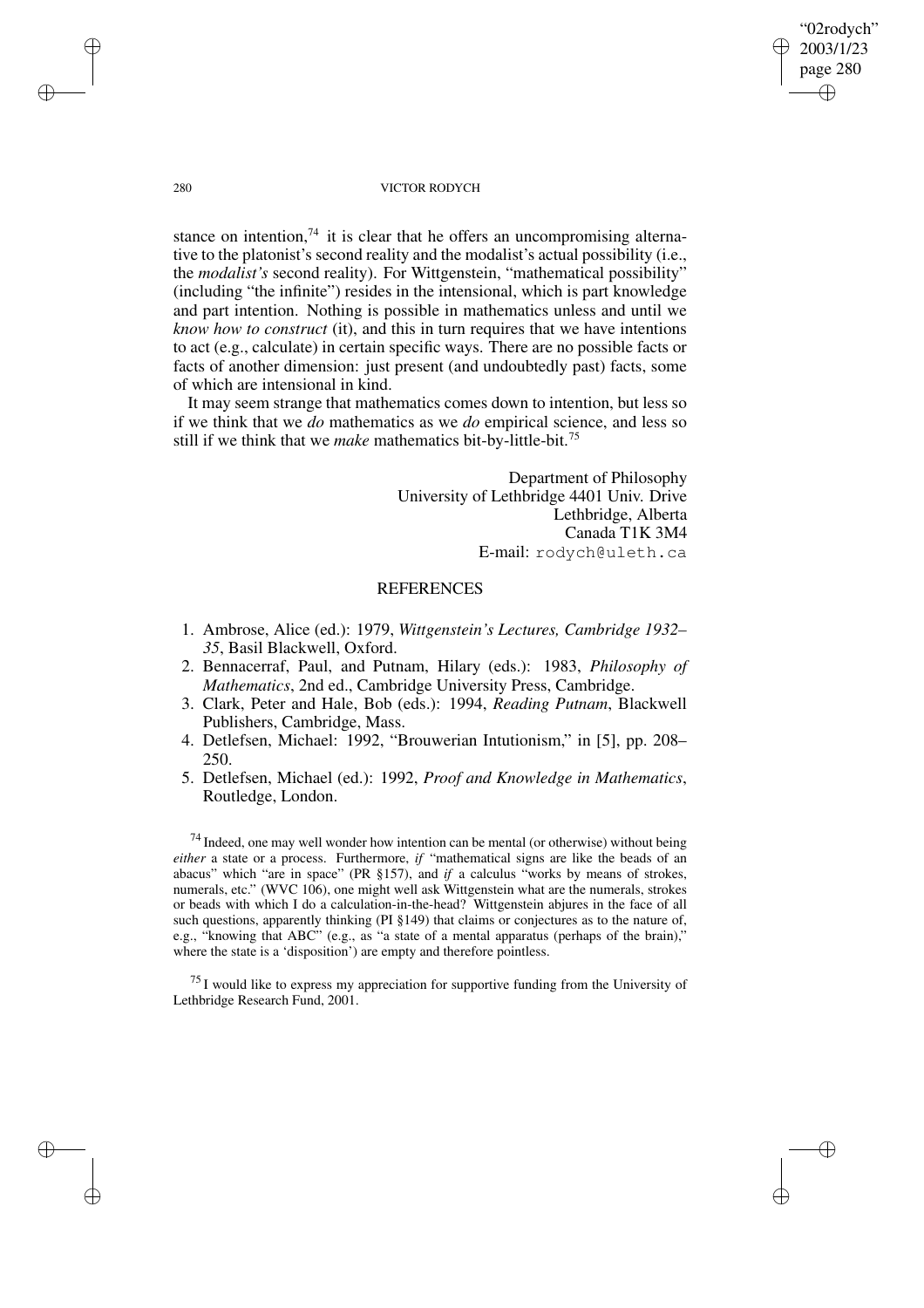"02rodych" 2003/1/23 page 280 ✐ ✐

✐

✐

#### 280 VICTOR RODYCH

stance on intention,<sup>74</sup> it is clear that he offers an uncompromising alternative to the platonist's second reality and the modalist's actual possibility (i.e., the *modalist's* second reality). For Wittgenstein, "mathematical possibility" (including "the infinite") resides in the intensional, which is part knowledge and part intention. Nothing is possible in mathematics unless and until we *know how to construct* (it), and this in turn requires that we have intentions to act (e.g., calculate) in certain specific ways. There are no possible facts or facts of another dimension: just present (and undoubtedly past) facts, some of which are intensional in kind.

It may seem strange that mathematics comes down to intention, but less so if we think that we *do* mathematics as we *do* empirical science, and less so still if we think that we *make* mathematics bit-by-little-bit.<sup>75</sup>

> Department of Philosophy University of Lethbridge 4401 Univ. Drive Lethbridge, Alberta Canada T1K 3M4 E-mail: rodych@uleth.ca

# **REFERENCES**

- 1. Ambrose, Alice (ed.): 1979, *Wittgenstein's Lectures, Cambridge 1932– 35*, Basil Blackwell, Oxford.
- 2. Bennacerraf, Paul, and Putnam, Hilary (eds.): 1983, *Philosophy of Mathematics*, 2nd ed., Cambridge University Press, Cambridge.
- 3. Clark, Peter and Hale, Bob (eds.): 1994, *Reading Putnam*, Blackwell Publishers, Cambridge, Mass.
- 4. Detlefsen, Michael: 1992, "Brouwerian Intutionism," in [5], pp. 208– 250.
- 5. Detlefsen, Michael (ed.): 1992, *Proof and Knowledge in Mathematics*, Routledge, London.

 $74$  Indeed, one may well wonder how intention can be mental (or otherwise) without being *either* a state or a process. Furthermore, *if* "mathematical signs are like the beads of an abacus" which "are in space" (PR §157), and *if* a calculus "works by means of strokes, numerals, etc." (WVC 106), one might well ask Wittgenstein what are the numerals, strokes or beads with which I do a calculation-in-the-head? Wittgenstein abjures in the face of all such questions, apparently thinking (PI §149) that claims or conjectures as to the nature of, e.g., "knowing that ABC" (e.g., as "a state of a mental apparatus (perhaps of the brain)," where the state is a 'disposition') are empty and therefore pointless.

 $^{75}$  I would like to express my appreciation for supportive funding from the University of Lethbridge Research Fund, 2001.

✐

✐

✐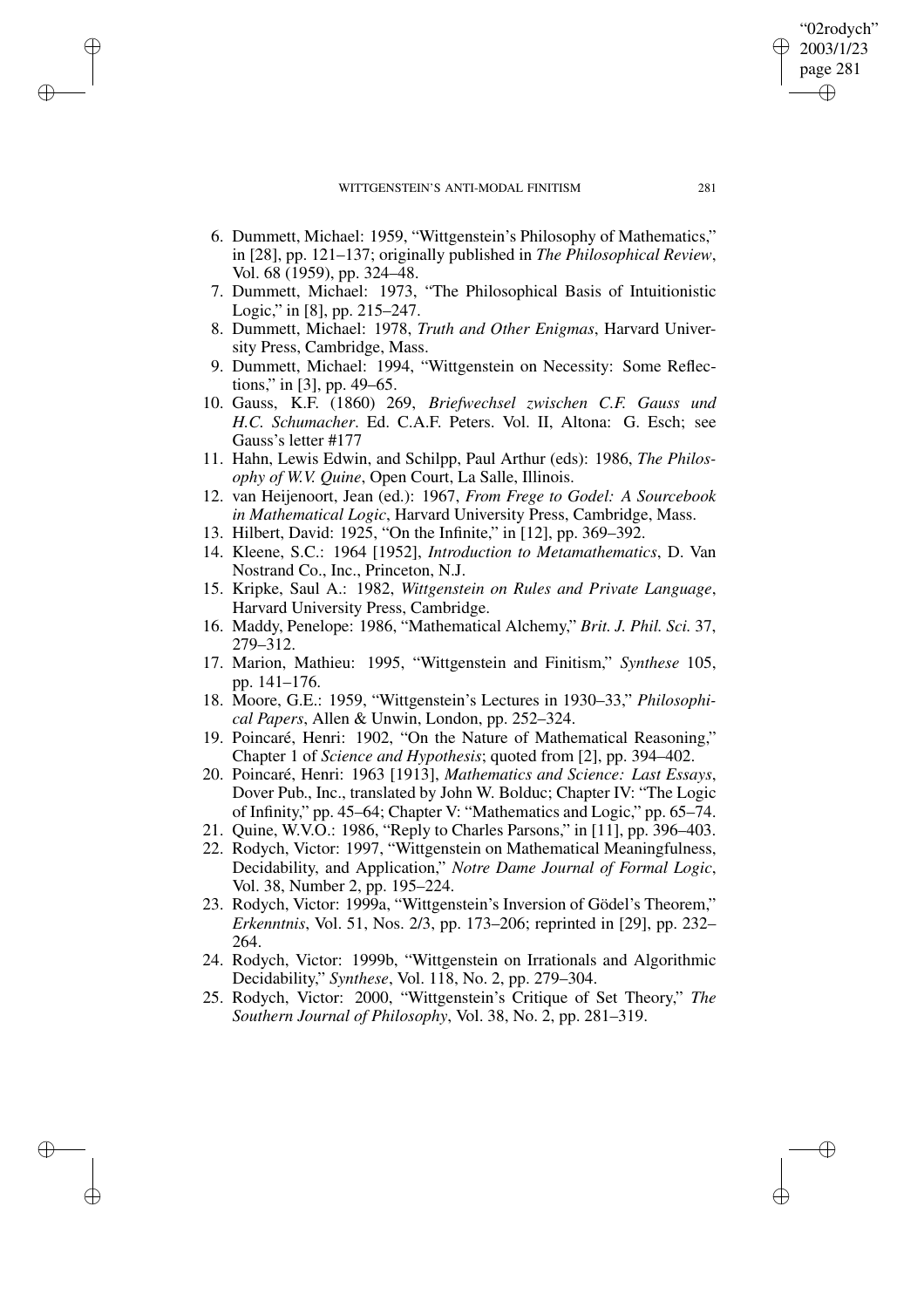✐

✐

✐

✐

- 6. Dummett, Michael: 1959, "Wittgenstein's Philosophy of Mathematics," in [28], pp. 121–137; originally published in *The Philosophical Review*, Vol. 68 (1959), pp. 324–48.
- 7. Dummett, Michael: 1973, "The Philosophical Basis of Intuitionistic Logic," in [8], pp. 215–247.
- 8. Dummett, Michael: 1978, *Truth and Other Enigmas*, Harvard University Press, Cambridge, Mass.
- 9. Dummett, Michael: 1994, "Wittgenstein on Necessity: Some Reflections," in [3], pp. 49–65.
- 10. Gauss, K.F. (1860) 269, *Briefwechsel zwischen C.F. Gauss und H.C. Schumacher*. Ed. C.A.F. Peters. Vol. II, Altona: G. Esch; see Gauss's letter #177
- 11. Hahn, Lewis Edwin, and Schilpp, Paul Arthur (eds): 1986, *The Philosophy of W.V. Quine*, Open Court, La Salle, Illinois.
- 12. van Heijenoort, Jean (ed.): 1967, *From Frege to Godel: A Sourcebook in Mathematical Logic*, Harvard University Press, Cambridge, Mass.
- 13. Hilbert, David: 1925, "On the Infinite," in [12], pp. 369–392.
- 14. Kleene, S.C.: 1964 [1952], *Introduction to Metamathematics*, D. Van Nostrand Co., Inc., Princeton, N.J.
- 15. Kripke, Saul A.: 1982, *Wittgenstein on Rules and Private Language*, Harvard University Press, Cambridge.
- 16. Maddy, Penelope: 1986, "Mathematical Alchemy," *Brit. J. Phil. Sci.* 37, 279–312.
- 17. Marion, Mathieu: 1995, "Wittgenstein and Finitism," *Synthese* 105, pp. 141–176.
- 18. Moore, G.E.: 1959, "Wittgenstein's Lectures in 1930–33," *Philosophical Papers*, Allen & Unwin, London, pp. 252–324.
- 19. Poincaré, Henri: 1902, "On the Nature of Mathematical Reasoning," Chapter 1 of *Science and Hypothesis*; quoted from [2], pp. 394–402.
- 20. Poincaré, Henri: 1963 [1913], *Mathematics and Science: Last Essays*, Dover Pub., Inc., translated by John W. Bolduc; Chapter IV: "The Logic of Infinity," pp. 45–64; Chapter V: "Mathematics and Logic," pp. 65–74.
- 21. Quine, W.V.O.: 1986, "Reply to Charles Parsons," in [11], pp. 396–403.
- 22. Rodych, Victor: 1997, "Wittgenstein on Mathematical Meaningfulness, Decidability, and Application," *Notre Dame Journal of Formal Logic*, Vol. 38, Number 2, pp. 195–224.
- 23. Rodych, Victor: 1999a, "Wittgenstein's Inversion of Gödel's Theorem," *Erkenntnis*, Vol. 51, Nos. 2/3, pp. 173–206; reprinted in [29], pp. 232– 264.
- 24. Rodych, Victor: 1999b, "Wittgenstein on Irrationals and Algorithmic Decidability," *Synthese*, Vol. 118, No. 2, pp. 279–304.
- 25. Rodych, Victor: 2000, "Wittgenstein's Critique of Set Theory," *The Southern Journal of Philosophy*, Vol. 38, No. 2, pp. 281–319.

"02rodych" 2003/1/23 page 281

✐

✐

✐